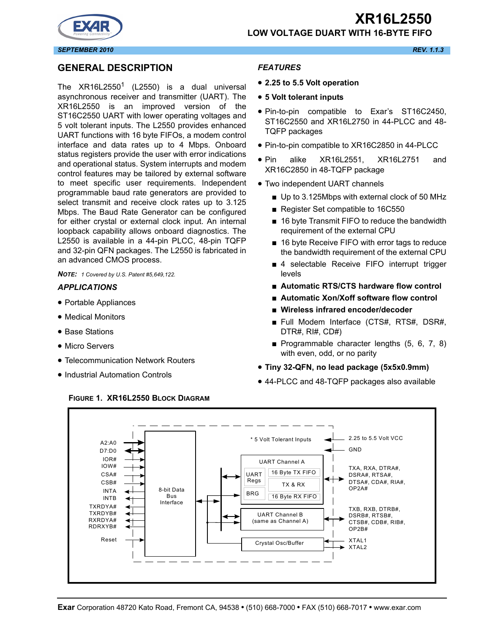



## **GENERAL DESCRIPTION**

The  $XR16L2550<sup>1</sup>$  (L2550) is a dual universal asynchronous receiver and transmitter (UART). The XR16L2550 is an improved version of the ST16C2550 UART with lower operating voltages and 5 volt tolerant inputs. The L2550 provides enhanced UART functions with 16 byte FIFOs, a modem control interface and data rates up to 4 Mbps. Onboard status registers provide the user with error indications and operational status. System interrupts and modem control features may be tailored by external software to meet specific user requirements. Independent programmable baud rate generators are provided to select transmit and receive clock rates up to 3.125 Mbps. The Baud Rate Generator can be configured for either crystal or external clock input. An internal loopback capability allows onboard diagnostics. The L2550 is available in a 44-pin PLCC, 48-pin TQFP and 32-pin QFN packages. The L2550 is fabricated in an advanced CMOS process.

*NOTE: 1 Covered by U.S. Patent #5,649,122.*

#### *APPLICATIONS*

- Portable Appliances
- Medical Monitors
- Base Stations
- Micro Servers
- Telecommunication Network Routers
- Industrial Automation Controls

#### *FEATURES*

- **2.25 to 5.5 Volt operation**
- **5 Volt tolerant inputs**
- Pin-to-pin compatible to Exar's ST16C2450, ST16C2550 and XR16L2750 in 44-PLCC and 48- TQFP packages
- Pin-to-pin compatible to XR16C2850 in 44-PLCC
- Pin alike XR16L2551, XR16L2751 and XR16C2850 in 48-TQFP package
- Two independent UART channels
	- Up to 3.125Mbps with external clock of 50 MHz
	- Register Set compatible to 16C550
	- 16 byte Transmit FIFO to reduce the bandwidth requirement of the external CPU
	- 16 byte Receive FIFO with error tags to reduce the bandwidth requirement of the external CPU
	- 4 selectable Receive FIFO interrupt trigger levels
	- **Automatic RTS/CTS hardware flow control**
	- **Automatic Xon/Xoff software flow control**
	- **Wireless infrared encoder/decoder**
	- Full Modem Interface (CTS#, RTS#, DSR#, DTR#, RI#, CD#)
	- Programmable character lengths (5, 6, 7, 8) with even, odd, or no parity
- **Tiny 32-QFN, no lead package (5x5x0.9mm)**
- 44-PLCC and 48-TQFP packages also available



#### **FIGURE 1. XR16L2550 BLOCK DIAGRAM**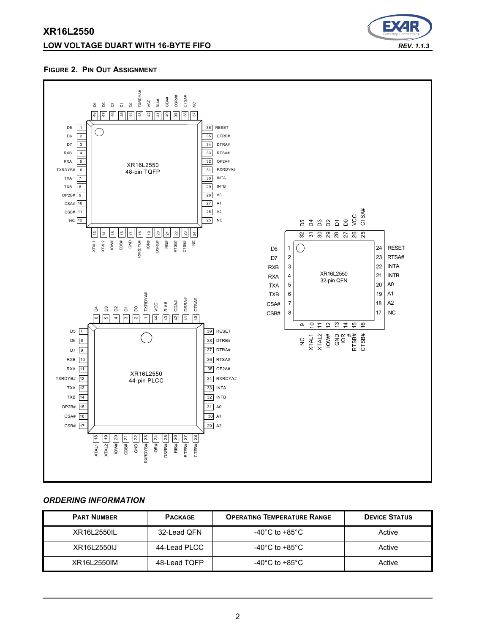# **LOW VOLTAGE DUART WITH 16-BYTE FIFO** *REV. 1.1.3*



#### **FIGURE 2. PIN OUT ASSIGNMENT**



#### *ORDERING INFORMATION*

| <b>PART NUMBER</b> | <b>PACKAGE</b> | <b>OPERATING TEMPERATURE RANGE</b>   | <b>DEVICE STATUS</b> |
|--------------------|----------------|--------------------------------------|----------------------|
| XR16L2550IL        | 32-Lead QFN    | -40 $^{\circ}$ C to +85 $^{\circ}$ C | Active               |
| XR16L2550IJ        | 44-Lead PLCC   | -40 $^{\circ}$ C to +85 $^{\circ}$ C | Active               |
| XR16L2550IM        | 48-Lead TQFP   | -40 $^{\circ}$ C to +85 $^{\circ}$ C | Active               |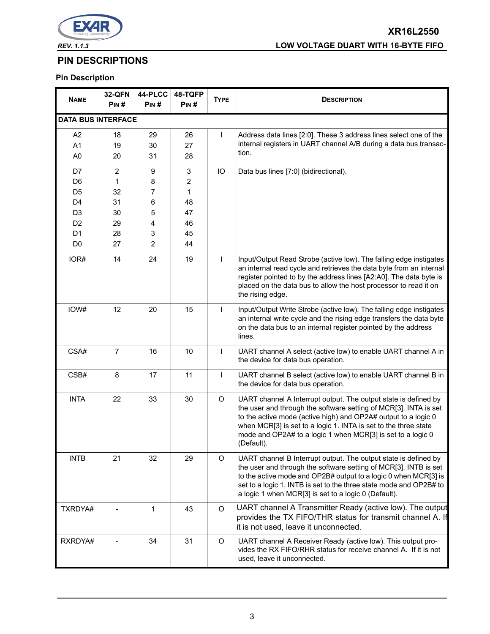

# **XR16L2550** *REV. 1.1.3* **LOW VOLTAGE DUART WITH 16-BYTE FIFO**

# **PIN DESCRIPTIONS**

# **Pin Description**

| <b>NAME</b>                                        | <b>32-QFN</b><br>PIN# | 44-PLCC<br>PIN# | 48-TQFP<br>PIN# | <b>TYPE</b>  | <b>DESCRIPTION</b>                                                                                                                                                                                                                                                                                                                                    |
|----------------------------------------------------|-----------------------|-----------------|-----------------|--------------|-------------------------------------------------------------------------------------------------------------------------------------------------------------------------------------------------------------------------------------------------------------------------------------------------------------------------------------------------------|
| <b>DATA BUS INTERFACE</b>                          |                       |                 |                 |              |                                                                                                                                                                                                                                                                                                                                                       |
| A <sub>2</sub><br>A1<br>A <sub>0</sub>             | 18<br>19<br>20        | 29<br>30<br>31  | 26<br>27<br>28  | $\mathsf{I}$ | Address data lines [2:0]. These 3 address lines select one of the<br>internal registers in UART channel A/B during a data bus transac-<br>tion.                                                                                                                                                                                                       |
| D7<br>D <sub>6</sub>                               | $\overline{2}$<br>1   | 9<br>8          | 3<br>2          | IO           | Data bus lines [7:0] (bidirectional).                                                                                                                                                                                                                                                                                                                 |
| D <sub>5</sub><br>D <sub>4</sub><br>D <sub>3</sub> | 32<br>31<br>30        | 7<br>6<br>5     | 1<br>48<br>47   |              |                                                                                                                                                                                                                                                                                                                                                       |
| D <sub>2</sub><br>D <sub>1</sub><br>D <sub>0</sub> | 29<br>28<br>27        | 4<br>3<br>2     | 46<br>45<br>44  |              |                                                                                                                                                                                                                                                                                                                                                       |
| IOR#                                               | 14                    | 24              | 19              | $\mathsf{I}$ | Input/Output Read Strobe (active low). The falling edge instigates<br>an internal read cycle and retrieves the data byte from an internal<br>register pointed to by the address lines [A2:A0]. The data byte is<br>placed on the data bus to allow the host processor to read it on<br>the rising edge.                                               |
| IOW#                                               | 12                    | 20              | 15              | $\mathbf{I}$ | Input/Output Write Strobe (active low). The falling edge instigates<br>an internal write cycle and the rising edge transfers the data byte<br>on the data bus to an internal register pointed by the address<br>lines.                                                                                                                                |
| CSA#                                               | $\overline{7}$        | 16              | 10              | $\mathsf{I}$ | UART channel A select (active low) to enable UART channel A in<br>the device for data bus operation.                                                                                                                                                                                                                                                  |
| CSB#                                               | 8                     | 17              | 11              | $\mathbf{I}$ | UART channel B select (active low) to enable UART channel B in<br>the device for data bus operation.                                                                                                                                                                                                                                                  |
| <b>INTA</b>                                        | 22                    | 33              | 30              | $\circ$      | UART channel A Interrupt output. The output state is defined by<br>the user and through the software setting of MCR[3]. INTA is set<br>to the active mode (active high) and OP2A# output to a logic 0<br>when MCR[3] is set to a logic 1. INTA is set to the three state<br>mode and OP2A# to a logic 1 when MCR[3] is set to a logic 0<br>(Default). |
| <b>INTB</b>                                        | 21                    | 32              | 29              | $\circ$      | UART channel B Interrupt output. The output state is defined by<br>the user and through the software setting of MCR[3]. INTB is set<br>to the active mode and OP2B# output to a logic 0 when MCR[3] is<br>set to a logic 1. INTB is set to the three state mode and OP2B# to<br>a logic 1 when MCR[3] is set to a logic 0 (Default).                  |
| TXRDYA#                                            |                       | $\mathbf{1}$    | 43              | $\circ$      | UART channel A Transmitter Ready (active low). The output<br>provides the TX FIFO/THR status for transmit channel A. If<br>it is not used, leave it unconnected.                                                                                                                                                                                      |
| RXRDYA#                                            |                       | 34              | 31              | O            | UART channel A Receiver Ready (active low). This output pro-<br>vides the RX FIFO/RHR status for receive channel A. If it is not<br>used, leave it unconnected.                                                                                                                                                                                       |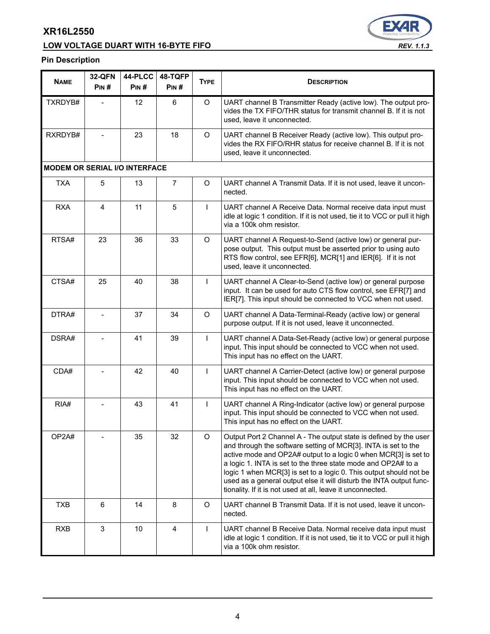# **LOW VOLTAGE DUART WITH 16-BYTE FIFO** *REV. 1.1.3*



# **Pin Description**

| <b>NAME</b>                          | <b>32-QFN</b><br>PIN# | 44-PLCC<br>PIN# | 48-TQFP<br>PIN# | <b>TYPE</b>  | <b>DESCRIPTION</b>                                                                                                                                                                                                                                                                                                                                                                                                                                                                 |
|--------------------------------------|-----------------------|-----------------|-----------------|--------------|------------------------------------------------------------------------------------------------------------------------------------------------------------------------------------------------------------------------------------------------------------------------------------------------------------------------------------------------------------------------------------------------------------------------------------------------------------------------------------|
| TXRDYB#                              |                       | 12              | 6               | O            | UART channel B Transmitter Ready (active low). The output pro-<br>vides the TX FIFO/THR status for transmit channel B. If it is not<br>used, leave it unconnected.                                                                                                                                                                                                                                                                                                                 |
| RXRDYB#                              |                       | 23              | 18              | O            | UART channel B Receiver Ready (active low). This output pro-<br>vides the RX FIFO/RHR status for receive channel B. If it is not<br>used, leave it unconnected.                                                                                                                                                                                                                                                                                                                    |
| <b>MODEM OR SERIAL I/O INTERFACE</b> |                       |                 |                 |              |                                                                                                                                                                                                                                                                                                                                                                                                                                                                                    |
| <b>TXA</b>                           | 5                     | 13              | $\overline{7}$  | O            | UART channel A Transmit Data. If it is not used, leave it uncon-<br>nected.                                                                                                                                                                                                                                                                                                                                                                                                        |
| <b>RXA</b>                           | 4                     | 11              | 5               | $\mathbf{I}$ | UART channel A Receive Data. Normal receive data input must<br>idle at logic 1 condition. If it is not used, tie it to VCC or pull it high<br>via a 100k ohm resistor.                                                                                                                                                                                                                                                                                                             |
| RTSA#                                | 23                    | 36              | 33              | $\circ$      | UART channel A Request-to-Send (active low) or general pur-<br>pose output. This output must be asserted prior to using auto<br>RTS flow control, see EFR[6], MCR[1] and IER[6]. If it is not<br>used, leave it unconnected.                                                                                                                                                                                                                                                       |
| CTSA#                                | 25                    | 40              | 38              | $\mathbf{I}$ | UART channel A Clear-to-Send (active low) or general purpose<br>input. It can be used for auto CTS flow control, see EFR[7] and<br>IER[7]. This input should be connected to VCC when not used.                                                                                                                                                                                                                                                                                    |
| DTRA#                                |                       | 37              | 34              | O            | UART channel A Data-Terminal-Ready (active low) or general<br>purpose output. If it is not used, leave it unconnected.                                                                                                                                                                                                                                                                                                                                                             |
| DSRA#                                |                       | 41              | 39              | $\mathbf{I}$ | UART channel A Data-Set-Ready (active low) or general purpose<br>input. This input should be connected to VCC when not used.<br>This input has no effect on the UART.                                                                                                                                                                                                                                                                                                              |
| CDA#                                 |                       | 42              | 40              | $\mathbf{I}$ | UART channel A Carrier-Detect (active low) or general purpose<br>input. This input should be connected to VCC when not used.<br>This input has no effect on the UART.                                                                                                                                                                                                                                                                                                              |
| RIA#                                 |                       | 43              | 41              | $\mathbf{I}$ | UART channel A Ring-Indicator (active low) or general purpose<br>input. This input should be connected to VCC when not used.<br>This input has no effect on the UART.                                                                                                                                                                                                                                                                                                              |
| OP2A#                                |                       | 35              | 32              | $\mathsf O$  | Output Port 2 Channel A - The output state is defined by the user<br>and through the software setting of MCR[3]. INTA is set to the<br>active mode and OP2A# output to a logic 0 when MCR[3] is set to<br>a logic 1. INTA is set to the three state mode and OP2A# to a<br>logic 1 when MCR[3] is set to a logic 0. This output should not be<br>used as a general output else it will disturb the INTA output func-<br>tionality. If it is not used at all, leave it unconnected. |
| <b>TXB</b>                           | $6\phantom{1}6$       | 14              | 8               | O            | UART channel B Transmit Data. If it is not used, leave it uncon-<br>nected.                                                                                                                                                                                                                                                                                                                                                                                                        |
| <b>RXB</b>                           | 3                     | 10              | 4               | $\mathsf{I}$ | UART channel B Receive Data. Normal receive data input must<br>idle at logic 1 condition. If it is not used, tie it to VCC or pull it high<br>via a 100k ohm resistor.                                                                                                                                                                                                                                                                                                             |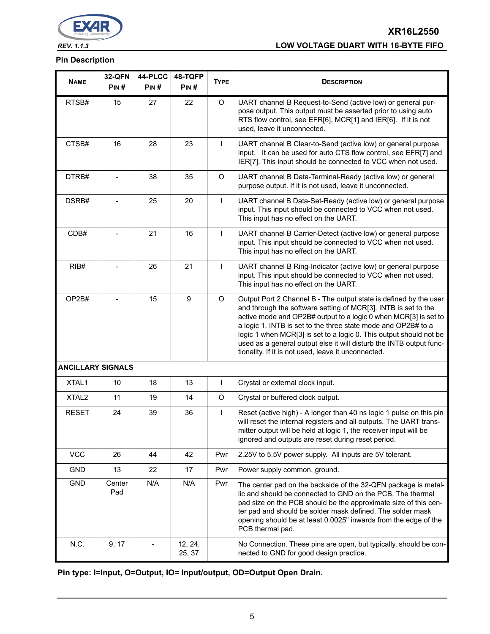

**XR16L2550** *REV. 1.1.3* **LOW VOLTAGE DUART WITH 16-BYTE FIFO**

#### **Pin Description**

| <b>NAME</b>              | 32-QFN<br>PIN# | 44-PLCC<br>PIN# | 48-TQFP<br>PIN#   | <b>TYPE</b>  | <b>DESCRIPTION</b>                                                                                                                                                                                                                                                                                                                                                                                                                                                          |
|--------------------------|----------------|-----------------|-------------------|--------------|-----------------------------------------------------------------------------------------------------------------------------------------------------------------------------------------------------------------------------------------------------------------------------------------------------------------------------------------------------------------------------------------------------------------------------------------------------------------------------|
| RTSB#                    | 15             | 27              | 22                | $\circ$      | UART channel B Request-to-Send (active low) or general pur-<br>pose output. This output must be asserted prior to using auto<br>RTS flow control, see EFR[6], MCR[1] and IER[6]. If it is not<br>used, leave it unconnected.                                                                                                                                                                                                                                                |
| CTSB#                    | 16             | 28              | 23                | $\mathbf{I}$ | UART channel B Clear-to-Send (active low) or general purpose<br>input. It can be used for auto CTS flow control, see EFR[7] and<br>IER[7]. This input should be connected to VCC when not used.                                                                                                                                                                                                                                                                             |
| DTRB#                    |                | 38              | 35                | O            | UART channel B Data-Terminal-Ready (active low) or general<br>purpose output. If it is not used, leave it unconnected.                                                                                                                                                                                                                                                                                                                                                      |
| DSRB#                    |                | 25              | 20                | $\mathsf{I}$ | UART channel B Data-Set-Ready (active low) or general purpose<br>input. This input should be connected to VCC when not used.<br>This input has no effect on the UART.                                                                                                                                                                                                                                                                                                       |
| CDB#                     |                | 21              | 16                | $\mathbf{I}$ | UART channel B Carrier-Detect (active low) or general purpose<br>input. This input should be connected to VCC when not used.<br>This input has no effect on the UART.                                                                                                                                                                                                                                                                                                       |
| RIB#                     |                | 26              | 21                | $\mathsf{I}$ | UART channel B Ring-Indicator (active low) or general purpose<br>input. This input should be connected to VCC when not used.<br>This input has no effect on the UART.                                                                                                                                                                                                                                                                                                       |
| OP2B#                    |                | 15              | 9                 | $\circ$      | Output Port 2 Channel B - The output state is defined by the user<br>and through the software setting of MCR[3]. INTB is set to the<br>active mode and OP2B# output to a logic 0 when MCR[3] is set to<br>a logic 1. INTB is set to the three state mode and OP2B# to a<br>logic 1 when MCR[3] is set to a logic 0. This output should not be<br>used as a general output else it will disturb the INTB output func-<br>tionality. If it is not used, leave it unconnected. |
| <b>ANCILLARY SIGNALS</b> |                |                 |                   |              |                                                                                                                                                                                                                                                                                                                                                                                                                                                                             |
| XTAL1                    | 10             | 18              | 13                | $\mathbf{I}$ | Crystal or external clock input.                                                                                                                                                                                                                                                                                                                                                                                                                                            |
| XTAL <sub>2</sub>        | 11             | 19              | 14                | O            | Crystal or buffered clock output.                                                                                                                                                                                                                                                                                                                                                                                                                                           |
| <b>RESET</b>             | 24             | 39              | 36                | $\mathsf{I}$ | Reset (active high) - A longer than 40 ns logic 1 pulse on this pin<br>will reset the internal registers and all outputs. The UART trans-<br>mitter output will be held at logic 1, the receiver input will be<br>ignored and outputs are reset during reset period.                                                                                                                                                                                                        |
| <b>VCC</b>               | 26             | 44              | 42                | Pwr          | 2.25V to 5.5V power supply. All inputs are 5V tolerant.                                                                                                                                                                                                                                                                                                                                                                                                                     |
| <b>GND</b>               | 13             | 22              | 17                | Pwr          | Power supply common, ground.                                                                                                                                                                                                                                                                                                                                                                                                                                                |
| <b>GND</b>               | Center<br>Pad  | N/A             | N/A               | Pwr          | The center pad on the backside of the 32-QFN package is metal-<br>lic and should be connected to GND on the PCB. The thermal<br>pad size on the PCB should be the approximate size of this cen-<br>ter pad and should be solder mask defined. The solder mask<br>opening should be at least 0.0025" inwards from the edge of the<br>PCB thermal pad.                                                                                                                        |
| N.C.                     | 9, 17          |                 | 12, 24,<br>25, 37 |              | No Connection. These pins are open, but typically, should be con-<br>nected to GND for good design practice.                                                                                                                                                                                                                                                                                                                                                                |

**Pin type: I=Input, O=Output, IO= Input/output, OD=Output Open Drain.**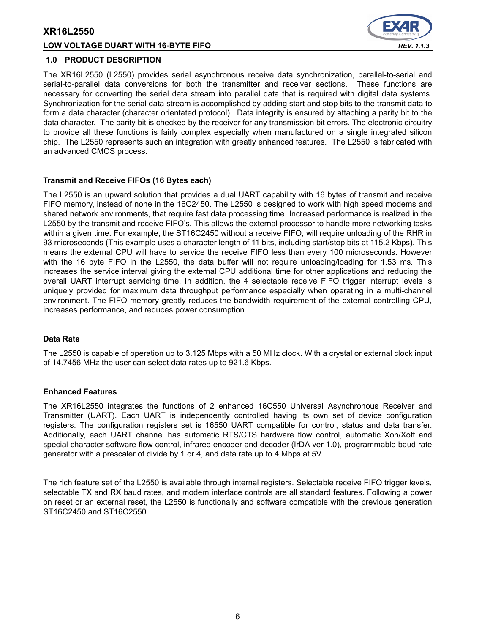#### **LOW VOLTAGE DUART WITH 16-BYTE FIFO** *REV. 1.1.3*



#### **1.0 PRODUCT DESCRIPTION**

The XR16L2550 (L2550) provides serial asynchronous receive data synchronization, parallel-to-serial and serial-to-parallel data conversions for both the transmitter and receiver sections. These functions are necessary for converting the serial data stream into parallel data that is required with digital data systems. Synchronization for the serial data stream is accomplished by adding start and stop bits to the transmit data to form a data character (character orientated protocol). Data integrity is ensured by attaching a parity bit to the data character. The parity bit is checked by the receiver for any transmission bit errors. The electronic circuitry to provide all these functions is fairly complex especially when manufactured on a single integrated silicon chip. The L2550 represents such an integration with greatly enhanced features. The L2550 is fabricated with an advanced CMOS process.

#### **Transmit and Receive FIFOs (16 Bytes each)**

The L2550 is an upward solution that provides a dual UART capability with 16 bytes of transmit and receive FIFO memory, instead of none in the 16C2450. The L2550 is designed to work with high speed modems and shared network environments, that require fast data processing time. Increased performance is realized in the L2550 by the transmit and receive FIFO's. This allows the external processor to handle more networking tasks within a given time. For example, the ST16C2450 without a receive FIFO, will require unloading of the RHR in 93 microseconds (This example uses a character length of 11 bits, including start/stop bits at 115.2 Kbps). This means the external CPU will have to service the receive FIFO less than every 100 microseconds. However with the 16 byte FIFO in the L2550, the data buffer will not require unloading/loading for 1.53 ms. This increases the service interval giving the external CPU additional time for other applications and reducing the overall UART interrupt servicing time. In addition, the 4 selectable receive FIFO trigger interrupt levels is uniquely provided for maximum data throughput performance especially when operating in a multi-channel environment. The FIFO memory greatly reduces the bandwidth requirement of the external controlling CPU, increases performance, and reduces power consumption.

#### **Data Rate**

The L2550 is capable of operation up to 3.125 Mbps with a 50 MHz clock. With a crystal or external clock input of 14.7456 MHz the user can select data rates up to 921.6 Kbps.

#### **Enhanced Features**

The XR16L2550 integrates the functions of 2 enhanced 16C550 Universal Asynchronous Receiver and Transmitter (UART). Each UART is independently controlled having its own set of device configuration registers. The configuration registers set is 16550 UART compatible for control, status and data transfer. Additionally, each UART channel has automatic RTS/CTS hardware flow control, automatic Xon/Xoff and special character software flow control, infrared encoder and decoder (IrDA ver 1.0), programmable baud rate generator with a prescaler of divide by 1 or 4, and data rate up to 4 Mbps at 5V.

The rich feature set of the L2550 is available through internal registers. Selectable receive FIFO trigger levels, selectable TX and RX baud rates, and modem interface controls are all standard features. Following a power on reset or an external reset, the L2550 is functionally and software compatible with the previous generation ST16C2450 and ST16C2550.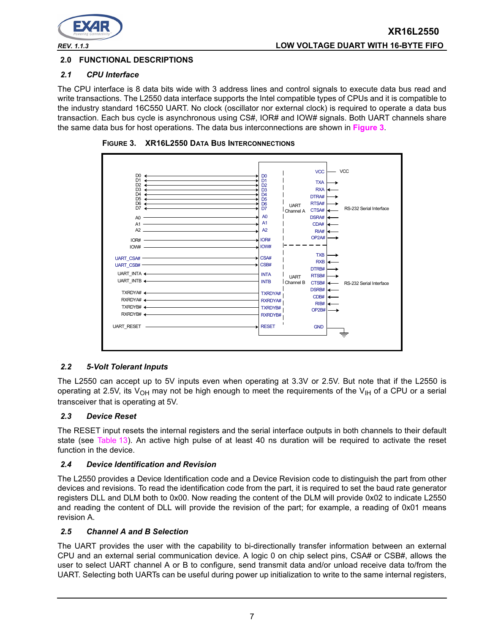

# **2.0 FUNCTIONAL DESCRIPTIONS**

## *2.1 CPU Interface*

The CPU interface is 8 data bits wide with 3 address lines and control signals to execute data bus read and write transactions. The L2550 data interface supports the Intel compatible types of CPUs and it is compatible to the industry standard 16C550 UART. No clock (oscillator nor external clock) is required to operate a data bus transaction. Each bus cycle is asynchronous using CS#, IOR# and IOW# signals. Both UART channels share the same data bus for host operations. The data bus interconnections are shown in **[Figure](#page-6-0) 3**.



<span id="page-6-0"></span>**FIGURE 3. XR16L2550 DATA BUS INTERCONNECTIONS**

#### *2.2 5-Volt Tolerant Inputs*

The L2550 can accept up to 5V inputs even when operating at 3.3V or 2.5V. But note that if the L2550 is operating at 2.5V, its V<sub>OH</sub> may not be high enough to meet the requirements of the V<sub>IH</sub> of a CPU or a serial transceiver that is operating at 5V.

#### *2.3 Device Reset*

The RESET input resets the internal registers and the serial interface outputs in both channels to their default state (see [Table](#page-32-0) 13). An active high pulse of at least 40 ns duration will be required to activate the reset function in the device.

#### *2.4 Device Identification and Revision*

The L2550 provides a Device Identification code and a Device Revision code to distinguish the part from other devices and revisions. To read the identification code from the part, it is required to set the baud rate generator registers DLL and DLM both to 0x00. Now reading the content of the DLM will provide 0x02 to indicate L2550 and reading the content of DLL will provide the revision of the part; for example, a reading of 0x01 means revision A.

#### *2.5 Channel A and B Selection*

The UART provides the user with the capability to bi-directionally transfer information between an external CPU and an external serial communication device. A logic 0 on chip select pins, CSA# or CSB#, allows the user to select UART channel A or B to configure, send transmit data and/or unload receive data to/from the UART. Selecting both UARTs can be useful during power up initialization to write to the same internal registers,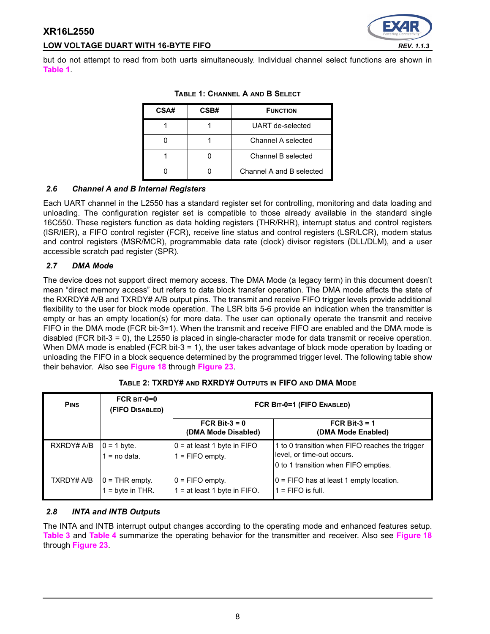# **LOW VOLTAGE DUART WITH 16-BYTE FIFO** *REV. 1.1.3*

<span id="page-7-0"></span>but do not attempt to read from both uarts simultaneously. Individual channel select functions are shown in **[Table](#page-7-0) 1**.

| CSA# | CSB# | <b>FUNCTION</b>          |
|------|------|--------------------------|
|      |      | UART de-selected         |
|      |      | Channel A selected       |
|      |      | Channel B selected       |
|      |      | Channel A and B selected |

**TABLE 1: CHANNEL A AND B SELECT**

# *2.6 Channel A and B Internal Registers*

Each UART channel in the L2550 has a standard register set for controlling, monitoring and data loading and unloading. The configuration register set is compatible to those already available in the standard single 16C550. These registers function as data holding registers (THR/RHR), interrupt status and control registers (ISR/IER), a FIFO control register (FCR), receive line status and control registers (LSR/LCR), modem status and control registers (MSR/MCR), programmable data rate (clock) divisor registers (DLL/DLM), and a user accessible scratch pad register (SPR).

#### *2.7 DMA Mode*

The device does not support direct memory access. The DMA Mode (a legacy term) in this document doesn't mean "direct memory access" but refers to data block transfer operation. The DMA mode affects the state of the RXRDY# A/B and TXRDY# A/B output pins. The transmit and receive FIFO trigger levels provide additional flexibility to the user for block mode operation. The LSR bits 5-6 provide an indication when the transmitter is empty or has an empty location(s) for more data. The user can optionally operate the transmit and receive FIFO in the DMA mode (FCR bit-3=1). When the transmit and receive FIFO are enabled and the DMA mode is disabled (FCR bit-3 = 0), the L2550 is placed in single-character mode for data transmit or receive operation. When DMA mode is enabled (FCR bit-3 = 1), the user takes advantage of block mode operation by loading or unloading the FIFO in a block sequence determined by the programmed trigger level. The following table show their behavior. Also see **[Figure](#page-37-0) 18** through **[Figure](#page-39-0) 23**.

| <b>PINS</b> | FCR $BIT-0=0$<br>(FIFO DISABLED)     | FCR BIT-0=1 (FIFO ENABLED)                            |                                                                                                                       |  |  |
|-------------|--------------------------------------|-------------------------------------------------------|-----------------------------------------------------------------------------------------------------------------------|--|--|
|             |                                      | FCR Bit- $3 = 0$<br>(DMA Mode Disabled)               | FCR Bit- $3 = 1$<br>(DMA Mode Enabled)                                                                                |  |  |
| RXRDY# A/B  | $0 = 1$ byte.<br>$1 = no data.$      | $0 = at least 1 byte in FIFO$<br>$1 =$ FIFO empty.    | 1 to 0 transition when FIFO reaches the trigger<br>level, or time-out occurs.<br>0 to 1 transition when FIFO empties. |  |  |
| TXRDY# A/B  | $0 =$ THR empty.<br>$=$ byte in THR. | $ 0 =$ FIFO empty.<br>1 = at least 1 byte in $FIFO$ . | $0 =$ FIFO has at least 1 empty location.<br>$1 =$ FIFO is full.                                                      |  |  |

**TABLE 2: TXRDY# AND RXRDY# OUTPUTS IN FIFO AND DMA MODE**

#### *2.8 INTA and INTB Outputs*

The INTA and INTB interrupt output changes according to the operating mode and enhanced features setup. **[Table](#page-8-0) 3** and **[Table](#page-8-1) 4** summarize the operating behavior for the transmitter and receiver. Also see **[Figure](#page-37-0) 18** through **[Figure](#page-39-0) 23**.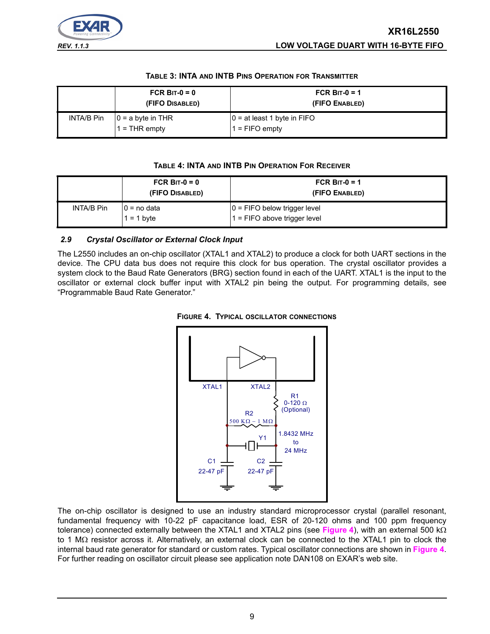

#### **TABLE 3: INTA AND INTB PINS OPERATION FOR TRANSMITTER**

<span id="page-8-0"></span>

|            | FCR BIT- $0 = 0$<br>(FIFO DISABLED)     | FCR BIT-0 = 1<br>(FIFO ENABLED)                    |
|------------|-----------------------------------------|----------------------------------------------------|
| INTA/B Pin | $ 0 = a$ byte in THR<br>$1 =$ THR empty | $ 0 =$ at least 1 byte in FIFO<br>$1 =$ FIFO empty |

#### **TABLE 4: INTA AND INTB PIN OPERATION FOR RECEIVER**

<span id="page-8-1"></span>

|            | FCR BIT- $0 = 0$<br>(FIFO DISABLED) | FCR BIT-0 = 1<br>(FIFO ENABLED)                                 |
|------------|-------------------------------------|-----------------------------------------------------------------|
| INTA/B Pin | $0 = no$ data<br>$1 = 1$ byte       | $ 0 =$ FIFO below trigger level<br>1 = FIFO above trigger level |

## *2.9 Crystal Oscillator or External Clock Input*

The L2550 includes an on-chip oscillator (XTAL1 and XTAL2) to produce a clock for both UART sections in the device. The CPU data bus does not require this clock for bus operation. The crystal oscillator provides a system clock to the Baud Rate Generators (BRG) section found in each of the UART. XTAL1 is the input to the oscillator or external clock buffer input with XTAL2 pin being the output. For programming details, see "Programmable Baud Rate Generator."



<span id="page-8-2"></span>

The on-chip oscillator is designed to use an industry standard microprocessor crystal (parallel resonant, fundamental frequency with 10-22 pF capacitance load, ESR of 20-120 ohms and 100 ppm frequency tolerance) connected externally between the XTAL1 and XTAL2 pins (see **[Figure](#page-8-2) 4**), with an external 500 kΩ to 1 MΩ resistor across it. Alternatively, an external clock can be connected to the XTAL1 pin to clock the internal baud rate generator for standard or custom rates. Typical oscillator connections are shown in **[Figure](#page-8-2) 4**. For further reading on oscillator circuit please see application note DAN108 on EXAR's web site.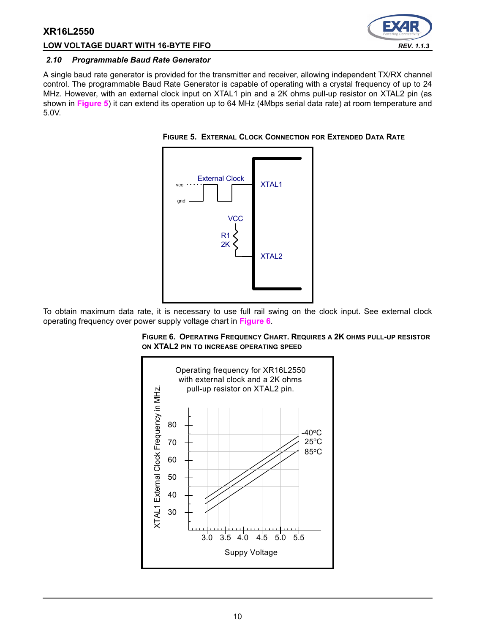## **LOW VOLTAGE DUART WITH 16-BYTE FIFO** *REV. 1.1.3*



#### <span id="page-9-2"></span>*2.10 Programmable Baud Rate Generator*

A single baud rate generator is provided for the transmitter and receiver, allowing independent TX/RX channel control. The programmable Baud Rate Generator is capable of operating with a crystal frequency of up to 24 MHz. However, with an external clock input on XTAL1 pin and a 2K ohms pull-up resistor on XTAL2 pin (as shown in **[Figure](#page-9-0) 5**) it can extend its operation up to 64 MHz (4Mbps serial data rate) at room temperature and 5.0V.

<span id="page-9-0"></span>**FIGURE 5. EXTERNAL CLOCK CONNECTION FOR EXTENDED DATA RATE**



To obtain maximum data rate, it is necessary to use full rail swing on the clock input. See external clock operating frequency over power supply voltage chart in **[Figure](#page-9-1) 6**.

<span id="page-9-1"></span>

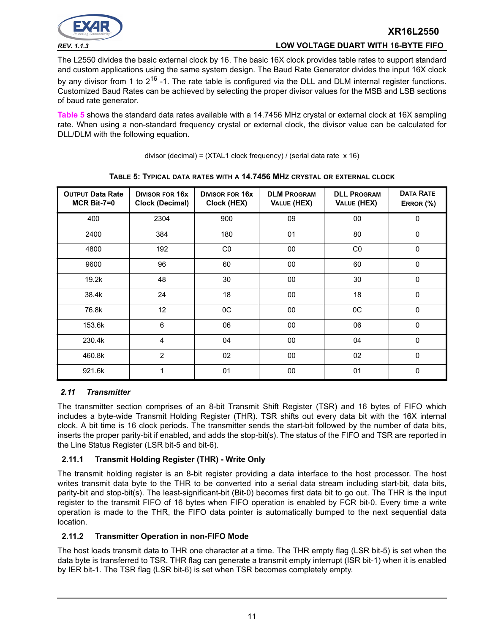

# **XR16L2550** *REV. 1.1.3* **LOW VOLTAGE DUART WITH 16-BYTE FIFO**

The L2550 divides the basic external clock by 16. The basic 16X clock provides table rates to support standard and custom applications using the same system design. The Baud Rate Generator divides the input 16X clock by any divisor from 1 to  $2^{16}$  -1. The rate table is configured via the DLL and DLM internal register functions. Customized Baud Rates can be achieved by selecting the proper divisor values for the MSB and LSB sections of baud rate generator.

**[Table](#page-10-0) 5** shows the standard data rates available with a 14.7456 MHz crystal or external clock at 16X sampling rate. When using a non-standard frequency crystal or external clock, the divisor value can be calculated for DLL/DLM with the following equation.

| divisor (decimal) = $(XTAL1$ clock frequency) / (serial data rate $x 16$ ) |  |
|----------------------------------------------------------------------------|--|
|----------------------------------------------------------------------------|--|

<span id="page-10-0"></span>

| <b>OUTPUT Data Rate</b><br>$MCR$ Bit-7=0 | <b>DIVISOR FOR 16X</b><br><b>Clock (Decimal)</b> | <b>DIVISOR FOR 16X</b><br>Clock (HEX) | <b>DLM PROGRAM</b><br>VALUE (HEX) | <b>DLL PROGRAM</b><br>VALUE (HEX) | <b>DATA RATE</b><br>ERROR (%) |
|------------------------------------------|--------------------------------------------------|---------------------------------------|-----------------------------------|-----------------------------------|-------------------------------|
| 400                                      | 2304                                             | 900                                   | 09                                | 00                                | $\mathbf{0}$                  |
| 2400                                     | 384                                              | 180                                   | 01                                | 80                                | $\mathbf 0$                   |
| 4800                                     | 192                                              | CO                                    | 00                                | CO                                | $\mathbf{0}$                  |
| 9600                                     | 96                                               | 60                                    | 00                                | 60                                | $\Omega$                      |
| 19.2k                                    | 48                                               | 30                                    | 00                                | 30                                | 0                             |
| 38.4k                                    | 24                                               | 18                                    | 00                                | 18                                | $\Omega$                      |
| 76.8k                                    | 12                                               | 0C                                    | 00                                | 0C                                | $\Omega$                      |
| 153.6k                                   | 6                                                | 06                                    | 00                                | 06                                | 0                             |
| 230.4k                                   | 4                                                | 04                                    | 00                                | 04                                | 0                             |
| 460.8k                                   | $\overline{2}$                                   | 02                                    | 00                                | 02                                | 0                             |
| 921.6k                                   | 1                                                | 01                                    | 00                                | 01                                | 0                             |

#### **TABLE 5: TYPICAL DATA RATES WITH A 14.7456 MHZ CRYSTAL OR EXTERNAL CLOCK**

# <span id="page-10-1"></span>*2.11 Transmitter*

The transmitter section comprises of an 8-bit Transmit Shift Register (TSR) and 16 bytes of FIFO which includes a byte-wide Transmit Holding Register (THR). TSR shifts out every data bit with the 16X internal clock. A bit time is 16 clock periods. The transmitter sends the start-bit followed by the number of data bits, inserts the proper parity-bit if enabled, and adds the stop-bit(s). The status of the FIFO and TSR are reported in the Line Status Register (LSR bit-5 and bit-6).

# **2.11.1 Transmit Holding Register (THR) - Write Only**

The transmit holding register is an 8-bit register providing a data interface to the host processor. The host writes transmit data byte to the THR to be converted into a serial data stream including start-bit, data bits, parity-bit and stop-bit(s). The least-significant-bit (Bit-0) becomes first data bit to go out. The THR is the input register to the transmit FIFO of 16 bytes when FIFO operation is enabled by FCR bit-0. Every time a write operation is made to the THR, the FIFO data pointer is automatically bumped to the next sequential data location.

#### **2.11.2 Transmitter Operation in non-FIFO Mode**

The host loads transmit data to THR one character at a time. The THR empty flag (LSR bit-5) is set when the data byte is transferred to TSR. THR flag can generate a transmit empty interrupt (ISR bit-1) when it is enabled by IER bit-1. The TSR flag (LSR bit-6) is set when TSR becomes completely empty.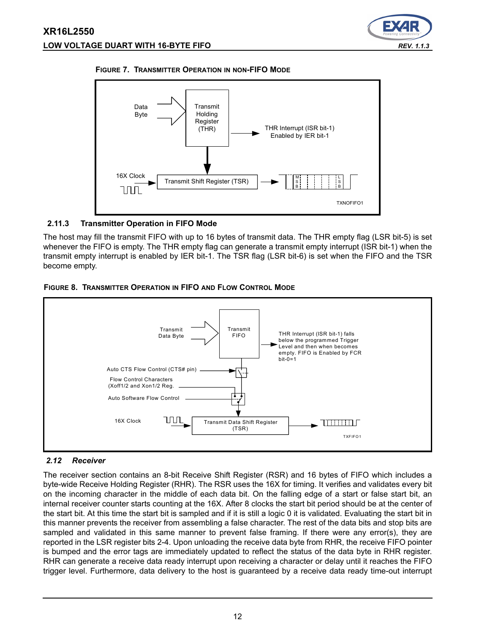





## **2.11.3 Transmitter Operation in FIFO Mode**

The host may fill the transmit FIFO with up to 16 bytes of transmit data. The THR empty flag (LSR bit-5) is set whenever the FIFO is empty. The THR empty flag can generate a transmit empty interrupt (ISR bit-1) when the transmit empty interrupt is enabled by IER bit-1. The TSR flag (LSR bit-6) is set when the FIFO and the TSR become empty.





# <span id="page-11-0"></span>*2.12 Receiver*

The receiver section contains an 8-bit Receive Shift Register (RSR) and 16 bytes of FIFO which includes a byte-wide Receive Holding Register (RHR). The RSR uses the 16X for timing. It verifies and validates every bit on the incoming character in the middle of each data bit. On the falling edge of a start or false start bit, an internal receiver counter starts counting at the 16X. After 8 clocks the start bit period should be at the center of the start bit. At this time the start bit is sampled and if it is still a logic 0 it is validated. Evaluating the start bit in this manner prevents the receiver from assembling a false character. The rest of the data bits and stop bits are sampled and validated in this same manner to prevent false framing. If there were any error(s), they are reported in the LSR register bits 2-4. Upon unloading the receive data byte from RHR, the receive FIFO pointer is bumped and the error tags are immediately updated to reflect the status of the data byte in RHR register. RHR can generate a receive data ready interrupt upon receiving a character or delay until it reaches the FIFO trigger level. Furthermore, data delivery to the host is guaranteed by a receive data ready time-out interrupt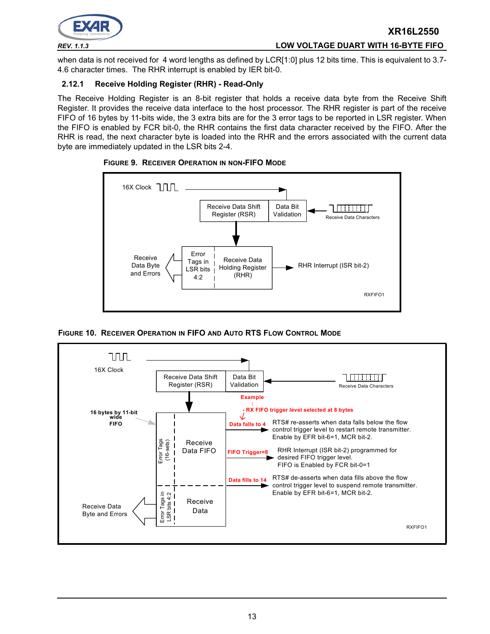

when data is not received for 4 word lengths as defined by LCR[1:0] plus 12 bits time. This is equivalent to 3.7-4.6 character times. The RHR interrupt is enabled by IER bit-0.

# **2.12.1 Receive Holding Register (RHR) - Read-Only**

The Receive Holding Register is an 8-bit register that holds a receive data byte from the Receive Shift Register. It provides the receive data interface to the host processor. The RHR register is part of the receive FIFO of 16 bytes by 11-bits wide, the 3 extra bits are for the 3 error tags to be reported in LSR register. When the FIFO is enabled by FCR bit-0, the RHR contains the first data character received by the FIFO. After the RHR is read, the next character byte is loaded into the RHR and the errors associated with the current data byte are immediately updated in the LSR bits 2-4.



#### **FIGURE 9. RECEIVER OPERATION IN NON-FIFO MODE**

**FIGURE 10. RECEIVER OPERATION IN FIFO AND AUTO RTS FLOW CONTROL MODE**

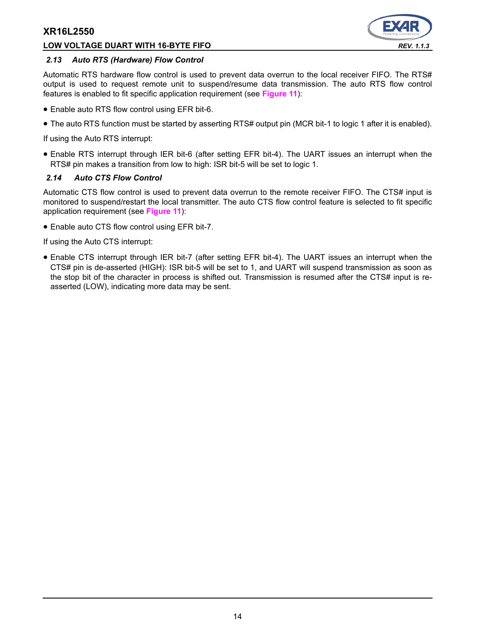## **LOW VOLTAGE DUART WITH 16-BYTE FIFO** *REV. 1.1.3*



#### *2.13 Auto RTS (Hardware) Flow Control*

Automatic RTS hardware flow control is used to prevent data overrun to the local receiver FIFO. The RTS# output is used to request remote unit to suspend/resume data transmission. The auto RTS flow control features is enabled to fit specific application requirement (see **[Figure](#page-14-0) 11**):

- Enable auto RTS flow control using EFR bit-6.
- The auto RTS function must be started by asserting RTS# output pin (MCR bit-1 to logic 1 after it is enabled).

If using the Auto RTS interrupt:

• Enable RTS interrupt through IER bit-6 (after setting EFR bit-4). The UART issues an interrupt when the RTS# pin makes a transition from low to high: ISR bit-5 will be set to logic 1.

#### *2.14 Auto CTS Flow Control*

Automatic CTS flow control is used to prevent data overrun to the remote receiver FIFO. The CTS# input is monitored to suspend/restart the local transmitter. The auto CTS flow control feature is selected to fit specific application requirement (see **[Figure](#page-14-0) 11**):

• Enable auto CTS flow control using EFR bit-7.

If using the Auto CTS interrupt:

• Enable CTS interrupt through IER bit-7 (after setting EFR bit-4). The UART issues an interrupt when the CTS# pin is de-asserted (HIGH): ISR bit-5 will be set to 1, and UART will suspend transmission as soon as the stop bit of the character in process is shifted out. Transmission is resumed after the CTS# input is reasserted (LOW), indicating more data may be sent.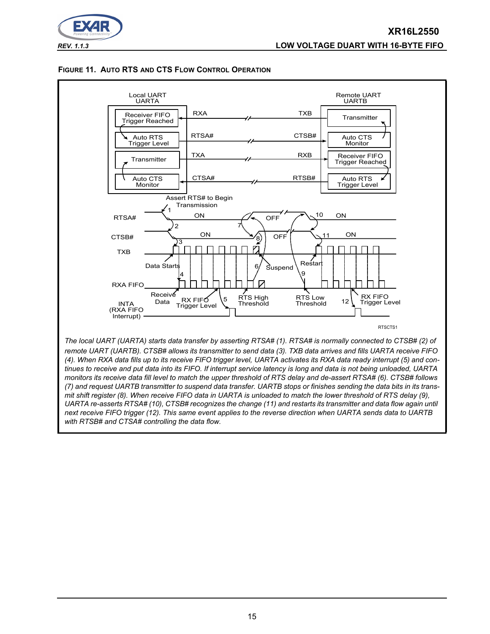

<span id="page-14-0"></span>



*UARTA re-asserts RTSA# (10), CTSB# recognizes the change (11) and restarts its transmitter and data flow again until* 

*next receive FIFO trigger (12). This same event applies to the reverse direction when UARTA sends data to UARTB with RTSB# and CTSA# controlling the data flow.*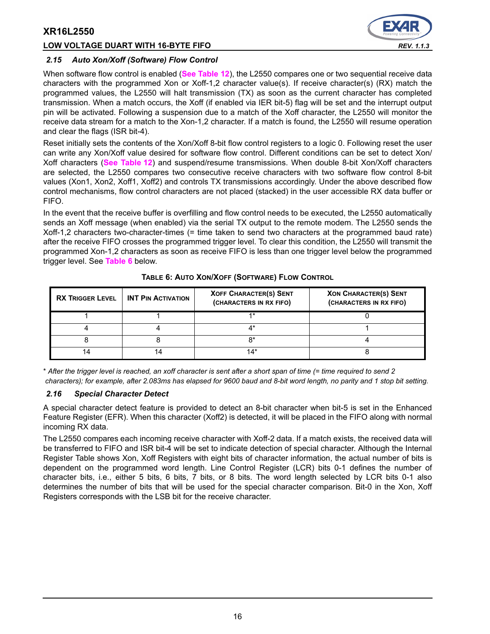#### **LOW VOLTAGE DUART WITH 16-BYTE FIFO** *REV. 1.1.3*



#### *2.15 Auto Xon/Xoff (Software) Flow Control*

When software flow control is enabled (**[See Table](#page-30-0) 12**), the L2550 compares one or two sequential receive data characters with the programmed Xon or Xoff-1,2 character value(s). If receive character(s) (RX) match the programmed values, the L2550 will halt transmission (TX) as soon as the current character has completed transmission. When a match occurs, the Xoff (if enabled via IER bit-5) flag will be set and the interrupt output pin will be activated. Following a suspension due to a match of the Xoff character, the L2550 will monitor the receive data stream for a match to the Xon-1,2 character. If a match is found, the L2550 will resume operation and clear the flags (ISR bit-4).

Reset initially sets the contents of the Xon/Xoff 8-bit flow control registers to a logic 0. Following reset the user can write any Xon/Xoff value desired for software flow control. Different conditions can be set to detect Xon/ Xoff characters (**[See Table](#page-30-0) 12**) and suspend/resume transmissions. When double 8-bit Xon/Xoff characters are selected, the L2550 compares two consecutive receive characters with two software flow control 8-bit values (Xon1, Xon2, Xoff1, Xoff2) and controls TX transmissions accordingly. Under the above described flow control mechanisms, flow control characters are not placed (stacked) in the user accessible RX data buffer or FIFO.

In the event that the receive buffer is overfilling and flow control needs to be executed, the L2550 automatically sends an Xoff message (when enabled) via the serial TX output to the remote modem. The L2550 sends the Xoff-1,2 characters two-character-times (= time taken to send two characters at the programmed baud rate) after the receive FIFO crosses the programmed trigger level. To clear this condition, the L2550 will transmit the programmed Xon-1,2 characters as soon as receive FIFO is less than one trigger level below the programmed trigger level. See **[Table](#page-15-0) 6** below.

<span id="page-15-0"></span>

| <b>RX TRIGGER LEVEL</b> | <b>INT PIN ACTIVATION</b> | <b>XOFF CHARACTER(S) SENT</b><br>(CHARACTERS IN RX FIFO) | <b>XON CHARACTER(S) SENT</b><br>(CHARACTERS IN RX FIFO) |
|-------------------------|---------------------------|----------------------------------------------------------|---------------------------------------------------------|
|                         |                           | $4*$                                                     |                                                         |
|                         |                           |                                                          |                                                         |
|                         |                           | n×                                                       |                                                         |
|                         |                           | $14*$                                                    |                                                         |

#### **TABLE 6: AUTO XON/XOFF (SOFTWARE) FLOW CONTROL**

\* *After the trigger level is reached, an xoff character is sent after a short span of time (= time required to send 2 characters); for example, after 2.083ms has elapsed for 9600 baud and 8-bit word length, no parity and 1 stop bit setting.*

## *2.16 Special Character Detect*

A special character detect feature is provided to detect an 8-bit character when bit-5 is set in the Enhanced Feature Register (EFR). When this character (Xoff2) is detected, it will be placed in the FIFO along with normal incoming RX data.

The L2550 compares each incoming receive character with Xoff-2 data. If a match exists, the received data will be transferred to FIFO and ISR bit-4 will be set to indicate detection of special character. Although the Internal Register Table shows Xon, Xoff Registers with eight bits of character information, the actual number of bits is dependent on the programmed word length. Line Control Register (LCR) bits 0-1 defines the number of character bits, i.e., either 5 bits, 6 bits, 7 bits, or 8 bits. The word length selected by LCR bits 0-1 also determines the number of bits that will be used for the special character comparison. Bit-0 in the Xon, Xoff Registers corresponds with the LSB bit for the receive character.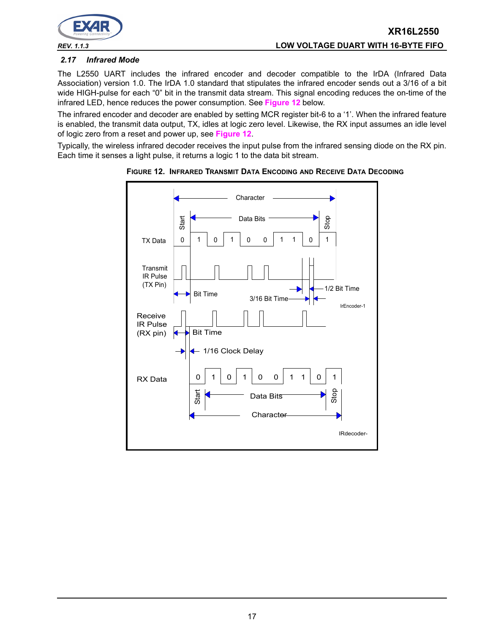

#### *2.17 Infrared Mode*

The L2550 UART includes the infrared encoder and decoder compatible to the IrDA (Infrared Data Association) version 1.0. The IrDA 1.0 standard that stipulates the infrared encoder sends out a 3/16 of a bit wide HIGH-pulse for each "0" bit in the transmit data stream. This signal encoding reduces the on-time of the infrared LED, hence reduces the power consumption. See **[Figure](#page-16-0) 12** below.

The infrared encoder and decoder are enabled by setting MCR register bit-6 to a '1'. When the infrared feature is enabled, the transmit data output, TX, idles at logic zero level. Likewise, the RX input assumes an idle level of logic zero from a reset and power up, see **[Figure](#page-16-0) 12**.

Typically, the wireless infrared decoder receives the input pulse from the infrared sensing diode on the RX pin. Each time it senses a light pulse, it returns a logic 1 to the data bit stream.



<span id="page-16-0"></span>**FIGURE 12. INFRARED TRANSMIT DATA ENCODING AND RECEIVE DATA DECODING**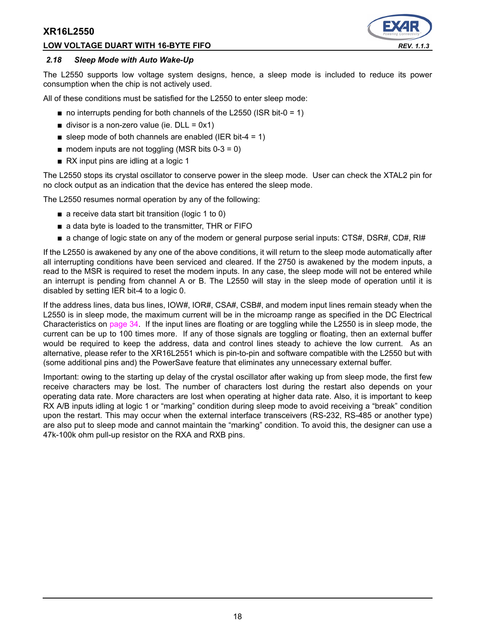#### **LOW VOLTAGE DUART WITH 16-BYTE FIFO** *REV. 1.1.3*



#### *2.18 Sleep Mode with Auto Wake-Up*

The L2550 supports low voltage system designs, hence, a sleep mode is included to reduce its power consumption when the chip is not actively used.

All of these conditions must be satisfied for the L2550 to enter sleep mode:

- $\blacksquare$  no interrupts pending for both channels of the L2550 (ISR bit-0 = 1)
- $\blacksquare$  divisor is a non-zero value (ie. DLL = 0x1)
- sleep mode of both channels are enabled (IER bit-4 = 1)
- $\blacksquare$  modem inputs are not toggling (MSR bits 0-3 = 0)
- RX input pins are idling at a logic 1

The L2550 stops its crystal oscillator to conserve power in the sleep mode. User can check the XTAL2 pin for no clock output as an indication that the device has entered the sleep mode.

The L2550 resumes normal operation by any of the following:

- a receive data start bit transition (logic 1 to 0)
- a data byte is loaded to the transmitter, THR or FIFO
- a change of logic state on any of the modem or general purpose serial inputs: CTS#, DSR#, CD#, RI#

If the L2550 is awakened by any one of the above conditions, it will return to the sleep mode automatically after all interrupting conditions have been serviced and cleared. If the 2750 is awakened by the modem inputs, a read to the MSR is required to reset the modem inputs. In any case, the sleep mode will not be entered while an interrupt is pending from channel A or B. The L2550 will stay in the sleep mode of operation until it is disabled by setting IER bit-4 to a logic 0.

If the address lines, data bus lines, IOW#, IOR#, CSA#, CSB#, and modem input lines remain steady when the L2550 is in sleep mode, the maximum current will be in the microamp range as specified in the DC Electrical Characteristics on [page](#page-33-0) 34. If the input lines are floating or are toggling while the L2550 is in sleep mode, the current can be up to 100 times more. If any of those signals are toggling or floating, then an external buffer would be required to keep the address, data and control lines steady to achieve the low current. As an alternative, please refer to the XR16L2551 which is pin-to-pin and software compatible with the L2550 but with (some additional pins and) the PowerSave feature that eliminates any unnecessary external buffer.

Important: owing to the starting up delay of the crystal oscillator after waking up from sleep mode, the first few receive characters may be lost. The number of characters lost during the restart also depends on your operating data rate. More characters are lost when operating at higher data rate. Also, it is important to keep RX A/B inputs idling at logic 1 or "marking" condition during sleep mode to avoid receiving a "break" condition upon the restart. This may occur when the external interface transceivers (RS-232, RS-485 or another type) are also put to sleep mode and cannot maintain the "marking" condition. To avoid this, the designer can use a 47k-100k ohm pull-up resistor on the RXA and RXB pins.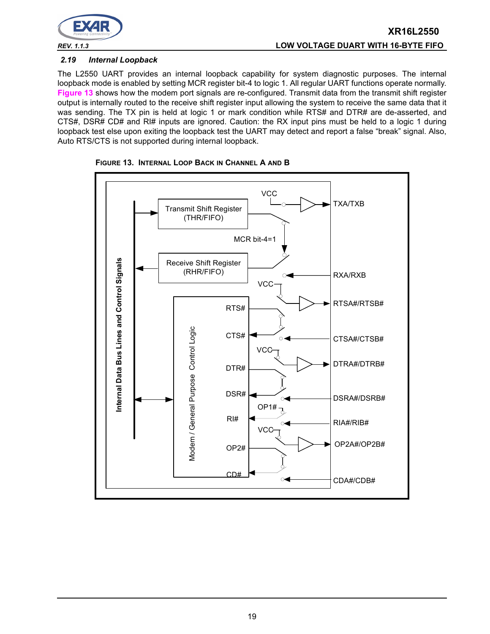

#### *2.19 Internal Loopback*

The L2550 UART provides an internal loopback capability for system diagnostic purposes. The internal loopback mode is enabled by setting MCR register bit-4 to logic 1. All regular UART functions operate normally. **[Figure](#page-18-0) 13** shows how the modem port signals are re-configured. Transmit data from the transmit shift register output is internally routed to the receive shift register input allowing the system to receive the same data that it was sending. The TX pin is held at logic 1 or mark condition while RTS# and DTR# are de-asserted, and CTS#, DSR# CD# and RI# inputs are ignored. Caution: the RX input pins must be held to a logic 1 during loopback test else upon exiting the loopback test the UART may detect and report a false "break" signal. Also, Auto RTS/CTS is not supported during internal loopback.



<span id="page-18-0"></span>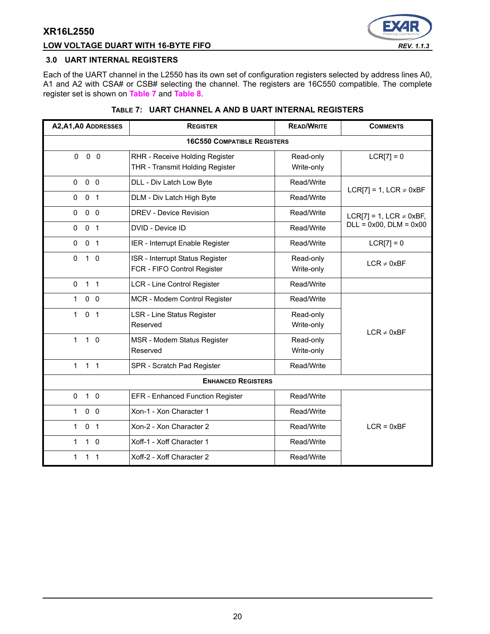## **LOW VOLTAGE DUART WITH 16-BYTE FIFO** *REV. 1.1.3*



#### **3.0 UART INTERNAL REGISTERS**

Each of the UART channel in the L2550 has its own set of configuration registers selected by address lines A0, A1 and A2 with CSA# or CSB# selecting the channel. The registers are 16C550 compatible. The complete register set is shown on **[Table](#page-19-0) 7** and **[Table](#page-20-0) 8**.

|  | TABLE 7: UART CHANNEL A AND B UART INTERNAL REGISTERS |  |
|--|-------------------------------------------------------|--|
|  |                                                       |  |

<span id="page-19-0"></span>

| A2, A1, A0 ADDRESSES           | <b>READ/WRITE</b><br><b>REGISTER</b>                                                         |                         | <b>COMMENTS</b>              |
|--------------------------------|----------------------------------------------------------------------------------------------|-------------------------|------------------------------|
|                                | <b>16C550 COMPATIBLE REGISTERS</b>                                                           |                         |                              |
| 0 <sub>0</sub><br>$\Omega$     | RHR - Receive Holding Register<br>Read-only<br>THR - Transmit Holding Register<br>Write-only |                         | $LCR[7] = 0$                 |
| 0 <sub>0</sub><br>$\Omega$     | DLL - Div Latch Low Byte                                                                     | Read/Write              | LCR[7] = 1, LCR $\neq$ 0xBF  |
| 0 <sub>1</sub><br>$\Omega$     | DLM - Div Latch High Byte                                                                    | Read/Write              |                              |
| 0 <sub>0</sub><br>$\Omega$     | <b>DREV - Device Revision</b>                                                                | Read/Write              | LCR[7] = 1, LCR $\neq$ 0xBF, |
| 0<br>0 <sub>1</sub>            | DVID - Device ID                                                                             | Read/Write              | $DLL = 0x00$ , $DLM = 0x00$  |
| 0 <sub>1</sub><br>$\Omega$     | IER - Interrupt Enable Register                                                              | Read/Write              | $LCR[7] = 0$                 |
| 0<br>$1\quad0$                 | ISR - Interrupt Status Register<br>FCR - FIFO Control Register                               | Read-only<br>Write-only | $LCR \neq 0xBF$              |
| 1 <sub>1</sub><br>0            | LCR - Line Control Register                                                                  | Read/Write              |                              |
| $\mathbf{1}$<br>0 <sub>0</sub> | MCR - Modem Control Register                                                                 | Read/Write              |                              |
| 0 <sub>1</sub><br>$\mathbf{1}$ | <b>LSR - Line Status Register</b><br>Reserved                                                | Read-only<br>Write-only | $LCR \neq 0xBF$              |
| $1\quad$ 0<br>$\mathbf{1}$     | MSR - Modem Status Register<br>Reserved                                                      | Read-only<br>Write-only |                              |
| 1 <sub>1</sub><br>1            | SPR - Scratch Pad Register                                                                   | Read/Write              |                              |
|                                | <b>ENHANCED REGISTERS</b>                                                                    |                         |                              |
| $1\quad$ 0<br>$\Omega$         | EFR - Enhanced Function Register                                                             | Read/Write              |                              |
| 0 <sub>0</sub><br>$\mathbf{1}$ | Xon-1 - Xon Character 1                                                                      | Read/Write              |                              |
| 0 <sub>1</sub><br>$\mathbf{1}$ | Xon-2 - Xon Character 2                                                                      | Read/Write              | $LCR = 0xBF$                 |
| $1\quad0$<br>$\mathbf{1}$      | Xoff-1 - Xoff Character 1                                                                    | Read/Write              |                              |
| 1<br>1<br>1                    | Xoff-2 - Xoff Character 2                                                                    | Read/Write              |                              |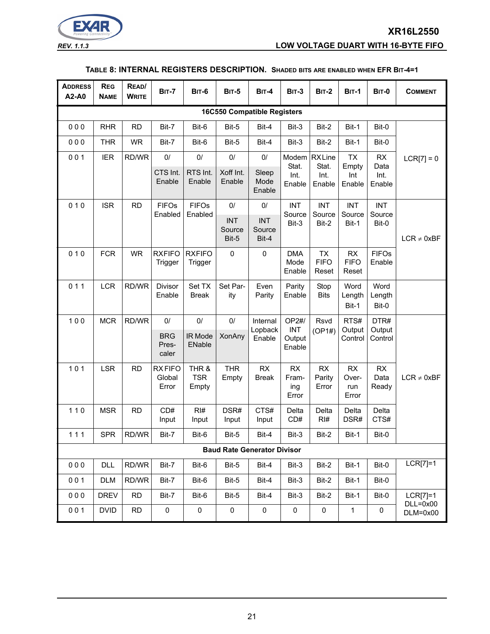

*REV. 1.1.3* **LOW VOLTAGE DUART WITH 16-BYTE FIFO**

#### **TABLE 8: INTERNAL REGISTERS DESCRIPTION. SHADED BITS ARE ENABLED WHEN EFR BIT-4=1**

<span id="page-20-0"></span>

| <b>ADDRESS</b><br>A2-A0            | <b>REG</b><br><b>NAME</b> | READ/<br><b>WRITE</b> | <b>BIT-7</b>                         | <b>BIT-6</b>                 | <b>BIT-5</b>                          | <b>BIT-4</b>                        | <b>BIT-3</b>                            | <b>BIT-2</b>                             | <b>BIT-1</b>                        | <b>BIT-0</b>                        | <b>COMMENT</b>             |
|------------------------------------|---------------------------|-----------------------|--------------------------------------|------------------------------|---------------------------------------|-------------------------------------|-----------------------------------------|------------------------------------------|-------------------------------------|-------------------------------------|----------------------------|
| <b>16C550 Compatible Registers</b> |                           |                       |                                      |                              |                                       |                                     |                                         |                                          |                                     |                                     |                            |
| 000                                | <b>RHR</b>                | <b>RD</b>             | Bit-7                                | Bit-6                        | Bit-5                                 | Bit-4                               | Bit-3                                   | Bit-2                                    | Bit-1                               | Bit-0                               |                            |
| 000                                | <b>THR</b>                | <b>WR</b>             | Bit-7                                | Bit-6                        | Bit-5                                 | Bit-4                               | Bit-3                                   | Bit-2                                    | Bit-1                               | Bit-0                               |                            |
| 001                                | <b>IER</b>                | RD/WR                 | $0/$<br>CTS Int.<br>Enable           | $0/$<br>RTS Int.<br>Enable   | $0/$<br>Xoff Int.<br>Enable           | 0/<br>Sleep<br>Mode<br>Enable       | Modem<br>Stat.<br>Int.<br>Enable        | <b>RXLine</b><br>Stat.<br>Int.<br>Enable | <b>TX</b><br>Empty<br>Int<br>Enable | <b>RX</b><br>Data<br>Int.<br>Enable | $LCR[7] = 0$               |
| 010                                | <b>ISR</b>                | <b>RD</b>             | <b>FIFOs</b><br>Enabled              | <b>FIFOs</b><br>Enabled      | $0/$<br><b>INT</b><br>Source<br>Bit-5 | 0/<br><b>INT</b><br>Source<br>Bit-4 | <b>INT</b><br>Source<br>Bit-3           | <b>INT</b><br>Source<br>Bit-2            | <b>INT</b><br>Source<br>Bit-1       | <b>INT</b><br>Source<br>Bit-0       | $LCR \neq 0xBF$            |
| 010                                | <b>FCR</b>                | <b>WR</b>             | <b>RXFIFO</b><br>Trigger             | <b>RXFIFO</b><br>Trigger     | $\mathbf 0$                           | $\pmb{0}$                           | <b>DMA</b><br>Mode<br>Enable            | TX<br><b>FIFO</b><br>Reset               | <b>RX</b><br><b>FIFO</b><br>Reset   | <b>FIFOs</b><br>Enable              |                            |
| 011                                | <b>LCR</b>                | RD/WR                 | Divisor<br>Enable                    | Set TX<br><b>Break</b>       | Set Par-<br>ity                       | Even<br>Parity                      | Parity<br>Enable                        | Stop<br><b>Bits</b>                      | Word<br>Length<br>Bit-1             | Word<br>Length<br>Bit-0             |                            |
| 100                                | <b>MCR</b>                | RD/WR                 | $0/$<br><b>BRG</b><br>Pres-<br>caler | $0/$<br>IR Mode<br>ENable    | $0/$<br><b>XonAny</b>                 | Internal<br>Lopback<br>Enable       | OP2#/<br><b>INT</b><br>Output<br>Enable | Rsvd<br>(OP1#)                           | RTS#<br>Output<br>Control           | DTR#<br>Output<br>Control           |                            |
| 101                                | <b>LSR</b>                | <b>RD</b>             | <b>RXFIFO</b><br>Global<br>Error     | THR &<br><b>TSR</b><br>Empty | <b>THR</b><br>Empty                   | RX<br><b>Break</b>                  | RX<br>Fram-<br>ing<br>Error             | <b>RX</b><br>Parity<br>Error             | <b>RX</b><br>Over-<br>run<br>Error  | RX<br>Data<br>Ready                 | $LCR \neq 0xBF$            |
| $110$                              | <b>MSR</b>                | <b>RD</b>             | CD#<br>Input                         | RI#<br>Input                 | DSR#<br>Input                         | CTS#<br>Input                       | Delta<br>CD#                            | Delta<br>RI#                             | Delta<br>DSR#                       | Delta<br>CTS#                       |                            |
| $111$                              | <b>SPR</b>                | RD/WR                 | Bit-7                                | Bit-6                        | Bit-5                                 | Bit-4                               | Bit-3                                   | Bit-2                                    | Bit-1                               | Bit-0                               |                            |
|                                    |                           |                       |                                      |                              |                                       | <b>Baud Rate Generator Divisor</b>  |                                         |                                          |                                     |                                     |                            |
| 000                                | <b>DLL</b>                | RD/WR                 | Bit-7                                | Bit-6                        | Bit-5                                 | Bit-4                               | Bit-3                                   | Bit-2                                    | Bit-1                               | Bit-0                               | $LCR[7]=1$                 |
| 001                                | <b>DLM</b>                | RD/WR                 | Bit-7                                | Bit-6                        | Bit-5                                 | Bit-4                               | Bit-3                                   | Bit-2                                    | Bit-1                               | Bit-0                               |                            |
| 000                                | <b>DREV</b>               | <b>RD</b>             | Bit-7                                | Bit-6                        | Bit-5                                 | Bit-4                               | Bit-3                                   | Bit-2                                    | Bit-1                               | Bit-0                               | $LCR[7]=1$<br>$DLL = 0x00$ |
| 001                                | <b>DVID</b>               | <b>RD</b>             | 0                                    | $\pmb{0}$                    | $\pmb{0}$                             | $\pmb{0}$                           | $\pmb{0}$                               | 0                                        | 1                                   | 0                                   | $DLM=0x00$                 |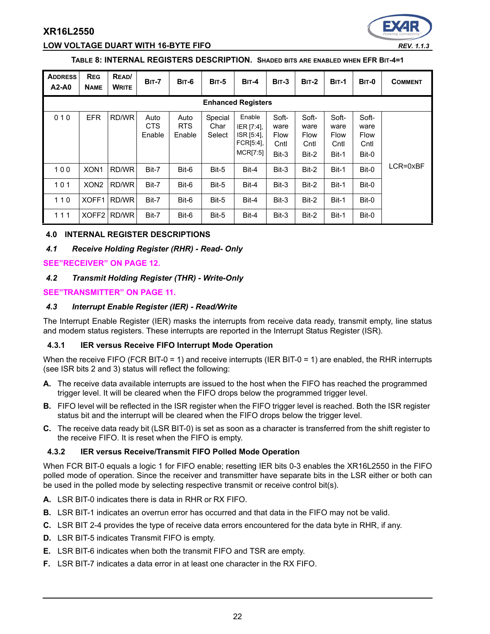

#### **TABLE 8: INTERNAL REGISTERS DESCRIPTION. SHADED BITS ARE ENABLED WHEN EFR BIT-4=1**

| <b>ADDRESS</b><br>$A2-A0$ | <b>REG</b><br><b>NAME</b> | READ/<br><b>WRITE</b> | <b>BIT-7</b>                 | <b>BIT-6</b>                 | <b>BIT-5</b>              | <b>BIT-4</b>                                                | <b>BIT-3</b>                                  | $BIT-2$                                       | <b>BIT-1</b>                                  | <b>BIT-0</b>                                  | <b>COMMENT</b> |
|---------------------------|---------------------------|-----------------------|------------------------------|------------------------------|---------------------------|-------------------------------------------------------------|-----------------------------------------------|-----------------------------------------------|-----------------------------------------------|-----------------------------------------------|----------------|
| <b>Enhanced Registers</b> |                           |                       |                              |                              |                           |                                                             |                                               |                                               |                                               |                                               |                |
| 010                       | <b>EFR</b>                | RD/WR                 | Auto<br><b>CTS</b><br>Enable | Auto<br><b>RTS</b><br>Enable | Special<br>Char<br>Select | Enable<br>IER [7:4],<br>ISR [5:4],<br>FCR[5:4],<br>MCR[7:5] | Soft-<br>ware<br><b>Flow</b><br>Cntl<br>Bit-3 | Soft-<br>ware<br><b>Flow</b><br>Cntl<br>Bit-2 | Soft-<br>ware<br><b>Flow</b><br>Cntl<br>Bit-1 | Soft-<br>ware<br><b>Flow</b><br>Cntl<br>Bit-0 |                |
| 100                       | XON <sub>1</sub>          | RD/WR                 | Bit-7                        | Bit-6                        | Bit-5                     | Bit-4                                                       | Bit-3                                         | Bit-2                                         | Bit-1                                         | Bit-0                                         | LCR=0xBF       |
| 101                       | XON <sub>2</sub>          | RD/WR                 | Bit-7                        | Bit-6                        | Bit-5                     | Bit-4                                                       | Bit-3                                         | Bit-2                                         | Bit-1                                         | Bit-0                                         |                |
| 110                       | XOFF1                     | RD/WR                 | Bit-7                        | Bit-6                        | Bit-5                     | Bit-4                                                       | Bit-3                                         | Bit-2                                         | Bit-1                                         | Bit-0                                         |                |
| 111                       | XOFF <sub>2</sub>         | RD/WR                 | Bit-7                        | Bit-6                        | Bit-5                     | Bit-4                                                       | Bit-3                                         | Bit-2                                         | Bit-1                                         | Bit-0                                         |                |

#### **4.0 INTERNAL REGISTER DESCRIPTIONS**

#### *4.1 Receive Holding Register (RHR) - Read- Only*

#### **[SEE"RECEIVER" ON PAGE](#page-11-0) 12.**

#### *4.2 Transmit Holding Register (THR) - Write-Only*

#### **[SEE"TRANSMITTER" ON PAGE](#page-10-1) 11.**

#### *4.3 Interrupt Enable Register (IER) - Read/Write*

The Interrupt Enable Register (IER) masks the interrupts from receive data ready, transmit empty, line status and modem status registers. These interrupts are reported in the Interrupt Status Register (ISR).

#### **4.3.1 IER versus Receive FIFO Interrupt Mode Operation**

When the receive FIFO (FCR BIT-0 = 1) and receive interrupts (IER BIT-0 = 1) are enabled, the RHR interrupts (see ISR bits 2 and 3) status will reflect the following:

- **A.** The receive data available interrupts are issued to the host when the FIFO has reached the programmed trigger level. It will be cleared when the FIFO drops below the programmed trigger level.
- **B.** FIFO level will be reflected in the ISR register when the FIFO trigger level is reached. Both the ISR register status bit and the interrupt will be cleared when the FIFO drops below the trigger level.
- **C.** The receive data ready bit (LSR BIT-0) is set as soon as a character is transferred from the shift register to the receive FIFO. It is reset when the FIFO is empty.

#### **4.3.2 IER versus Receive/Transmit FIFO Polled Mode Operation**

When FCR BIT-0 equals a logic 1 for FIFO enable; resetting IER bits 0-3 enables the XR16L2550 in the FIFO polled mode of operation. Since the receiver and transmitter have separate bits in the LSR either or both can be used in the polled mode by selecting respective transmit or receive control bit(s).

- **A.** LSR BIT-0 indicates there is data in RHR or RX FIFO.
- **B.** LSR BIT-1 indicates an overrun error has occurred and that data in the FIFO may not be valid.
- **C.** LSR BIT 2-4 provides the type of receive data errors encountered for the data byte in RHR, if any.
- **D.** LSR BIT-5 indicates Transmit FIFO is empty.
- **E.** LSR BIT-6 indicates when both the transmit FIFO and TSR are empty.
- **F.** LSR BIT-7 indicates a data error in at least one character in the RX FIFO.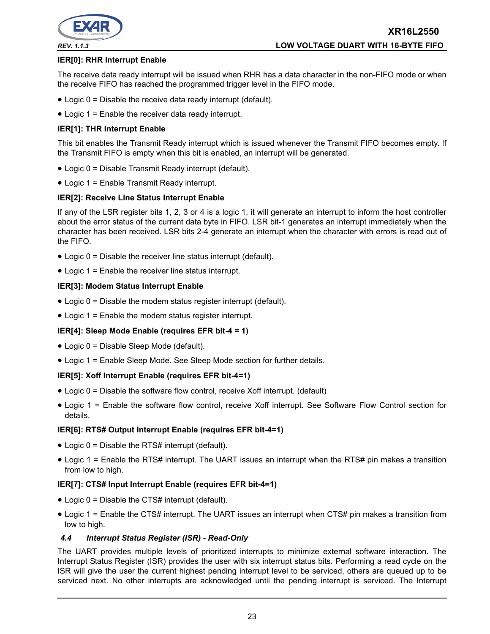

#### **IER[0]: RHR Interrupt Enable**

The receive data ready interrupt will be issued when RHR has a data character in the non-FIFO mode or when the receive FIFO has reached the programmed trigger level in the FIFO mode.

- Logic 0 = Disable the receive data ready interrupt (default).
- Logic 1 = Enable the receiver data ready interrupt.

#### **IER[1]: THR Interrupt Enable**

This bit enables the Transmit Ready interrupt which is issued whenever the Transmit FIFO becomes empty. If the Transmit FIFO is empty when this bit is enabled, an interrupt will be generated.

- Logic 0 = Disable Transmit Ready interrupt (default).
- Logic 1 = Enable Transmit Ready interrupt.

#### **IER[2]: Receive Line Status Interrupt Enable**

If any of the LSR register bits 1, 2, 3 or 4 is a logic 1, it will generate an interrupt to inform the host controller about the error status of the current data byte in FIFO. LSR bit-1 generates an interrupt immediately when the character has been received. LSR bits 2-4 generate an interrupt when the character with errors is read out of the FIFO.

- Logic 0 = Disable the receiver line status interrupt (default).
- Logic 1 = Enable the receiver line status interrupt.

#### **IER[3]: Modem Status Interrupt Enable**

- Logic 0 = Disable the modem status register interrupt (default).
- Logic 1 = Enable the modem status register interrupt.

#### **IER[4]: Sleep Mode Enable (requires EFR bit-4 = 1)**

- Logic 0 = Disable Sleep Mode (default).
- Logic 1 = Enable Sleep Mode. See Sleep Mode section for further details.

#### **IER[5]: Xoff Interrupt Enable (requires EFR bit-4=1)**

- Logic 0 = Disable the software flow control, receive Xoff interrupt. (default)
- Logic 1 = Enable the software flow control, receive Xoff interrupt. See Software Flow Control section for details.

#### **IER[6]: RTS# Output Interrupt Enable (requires EFR bit-4=1)**

- Logic 0 = Disable the RTS# interrupt (default).
- Logic 1 = Enable the RTS# interrupt. The UART issues an interrupt when the RTS# pin makes a transition from low to high.

#### **IER[7]: CTS# Input Interrupt Enable (requires EFR bit-4=1)**

- Logic 0 = Disable the CTS# interrupt (default).
- Logic 1 = Enable the CTS# interrupt. The UART issues an interrupt when CTS# pin makes a transition from low to high.

#### *4.4 Interrupt Status Register (ISR) - Read-Only*

The UART provides multiple levels of prioritized interrupts to minimize external software interaction. The Interrupt Status Register (ISR) provides the user with six interrupt status bits. Performing a read cycle on the ISR will give the user the current highest pending interrupt level to be serviced, others are queued up to be serviced next. No other interrupts are acknowledged until the pending interrupt is serviced. The Interrupt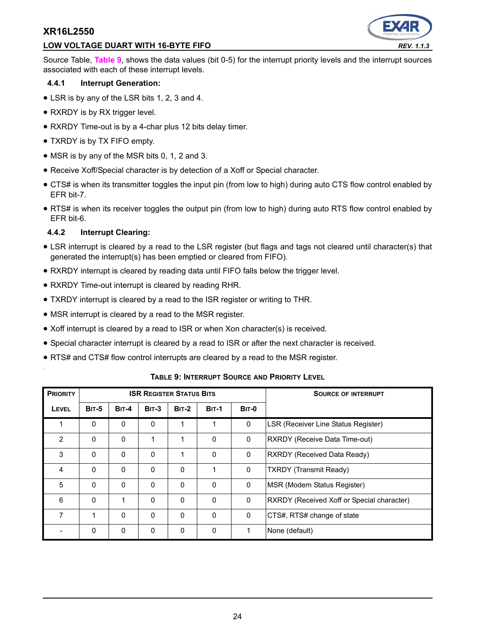## **LOW VOLTAGE DUART WITH 16-BYTE FIFO** *REV. 1.1.3*



Source Table, **[Table](#page-23-0) 9**, shows the data values (bit 0-5) for the interrupt priority levels and the interrupt sources associated with each of these interrupt levels.

#### **4.4.1 Interrupt Generation:**

- LSR is by any of the LSR bits 1, 2, 3 and 4.
- RXRDY is by RX trigger level.
- RXRDY Time-out is by a 4-char plus 12 bits delay timer.
- TXRDY is by TX FIFO empty.
- MSR is by any of the MSR bits 0, 1, 2 and 3.
- Receive Xoff/Special character is by detection of a Xoff or Special character.
- CTS# is when its transmitter toggles the input pin (from low to high) during auto CTS flow control enabled by EFR bit-7.
- RTS# is when its receiver toggles the output pin (from low to high) during auto RTS flow control enabled by EFR bit-6.

## **4.4.2 Interrupt Clearing:**

- LSR interrupt is cleared by a read to the LSR register (but flags and tags not cleared until character(s) that generated the interrupt(s) has been emptied or cleared from FIFO).
- RXRDY interrupt is cleared by reading data until FIFO falls below the trigger level.
- RXRDY Time-out interrupt is cleared by reading RHR.
- TXRDY interrupt is cleared by a read to the ISR register or writing to THR.
- MSR interrupt is cleared by a read to the MSR register.
- Xoff interrupt is cleared by a read to ISR or when Xon character(s) is received.
- Special character interrupt is cleared by a read to ISR or after the next character is received.
- RTS# and CTS# flow control interrupts are cleared by a read to the MSR register.

<span id="page-23-0"></span>

| <b>PRIORITY</b> | <b>ISR REGISTER STATUS BITS</b> |              |              |          |              | <b>SOURCE OF INTERRUPT</b> |                                            |
|-----------------|---------------------------------|--------------|--------------|----------|--------------|----------------------------|--------------------------------------------|
| LEVEL           | <b>BIT-5</b>                    | <b>BIT-4</b> | $BIT-3$      | $BIT-2$  | <b>BIT-1</b> | <b>BIT-0</b>               |                                            |
| 1               | $\mathbf{0}$                    | $\mathbf{0}$ | $\Omega$     |          | 1            | 0                          | LSR (Receiver Line Status Register)        |
| $\overline{2}$  | $\mathbf{0}$                    | 0            | 1            |          | 0            | 0                          | <b>RXRDY (Receive Data Time-out)</b>       |
| 3               | $\Omega$                        | $\Omega$     | $\mathbf{0}$ |          | $\Omega$     | 0                          | <b>RXRDY (Received Data Ready)</b>         |
| 4               | $\Omega$                        | $\Omega$     | $\Omega$     | $\Omega$ | 1            | $\mathbf{0}$               | <b>TXRDY</b> (Transmit Ready)              |
| 5               | $\Omega$                        | $\Omega$     | $\mathbf{0}$ | $\Omega$ | $\Omega$     | 0                          | MSR (Modem Status Register)                |
| 6               | $\mathbf{0}$                    | 1            | $\Omega$     | $\Omega$ | $\Omega$     | 0                          | RXRDY (Received Xoff or Special character) |
| 7               |                                 | $\Omega$     | $\Omega$     | $\Omega$ | $\Omega$     | 0                          | CTS#, RTS# change of state                 |
|                 | $\mathbf{0}$                    | 0            | $\Omega$     | $\Omega$ | 0            | 1                          | None (default)                             |

#### **TABLE 9: INTERRUPT SOURCE AND PRIORITY LEVEL**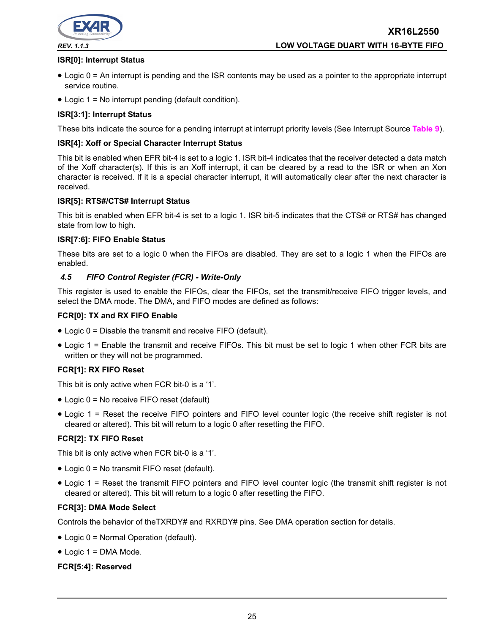

**XR16L2550** *REV. 1.1.3* **LOW VOLTAGE DUART WITH 16-BYTE FIFO**

#### **ISR[0]: Interrupt Status**

- Logic 0 = An interrupt is pending and the ISR contents may be used as a pointer to the appropriate interrupt service routine.
- Logic 1 = No interrupt pending (default condition).

#### **ISR[3:1]: Interrupt Status**

These bits indicate the source for a pending interrupt at interrupt priority levels (See Interrupt Source **[Table](#page-23-0) 9**).

#### **ISR[4]: Xoff or Special Character Interrupt Status**

This bit is enabled when EFR bit-4 is set to a logic 1. ISR bit-4 indicates that the receiver detected a data match of the Xoff character(s). If this is an Xoff interrupt, it can be cleared by a read to the ISR or when an Xon character is received. If it is a special character interrupt, it will automatically clear after the next character is received.

#### **ISR[5]: RTS#/CTS# Interrupt Status**

This bit is enabled when EFR bit-4 is set to a logic 1. ISR bit-5 indicates that the CTS# or RTS# has changed state from low to high.

#### **ISR[7:6]: FIFO Enable Status**

These bits are set to a logic 0 when the FIFOs are disabled. They are set to a logic 1 when the FIFOs are enabled.

#### *4.5 FIFO Control Register (FCR) - Write-Only*

This register is used to enable the FIFOs, clear the FIFOs, set the transmit/receive FIFO trigger levels, and select the DMA mode. The DMA, and FIFO modes are defined as follows:

#### **FCR[0]: TX and RX FIFO Enable**

- Logic 0 = Disable the transmit and receive FIFO (default).
- Logic 1 = Enable the transmit and receive FIFOs. This bit must be set to logic 1 when other FCR bits are written or they will not be programmed.

#### **FCR[1]: RX FIFO Reset**

This bit is only active when FCR bit-0 is a '1'.

- Logic 0 = No receive FIFO reset (default)
- Logic 1 = Reset the receive FIFO pointers and FIFO level counter logic (the receive shift register is not cleared or altered). This bit will return to a logic 0 after resetting the FIFO.

#### **FCR[2]: TX FIFO Reset**

This bit is only active when FCR bit-0 is a '1'.

- Logic 0 = No transmit FIFO reset (default).
- Logic 1 = Reset the transmit FIFO pointers and FIFO level counter logic (the transmit shift register is not cleared or altered). This bit will return to a logic 0 after resetting the FIFO.

#### **FCR[3]: DMA Mode Select**

Controls the behavior of theTXRDY# and RXRDY# pins. See DMA operation section for details.

- Logic 0 = Normal Operation (default).
- Logic 1 = DMA Mode.

#### **FCR[5:4]: Reserved**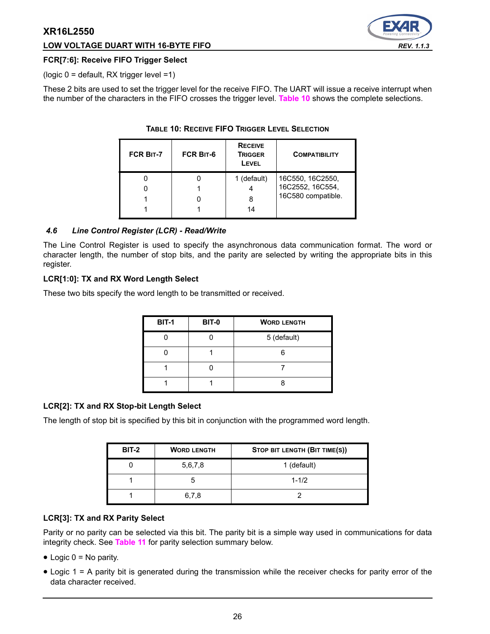#### **LOW VOLTAGE DUART WITH 16-BYTE FIFO** *REV. 1.1.3*



#### **FCR[7:6]: Receive FIFO Trigger Select**

(logic 0 = default, RX trigger level =1)

<span id="page-25-0"></span>These 2 bits are used to set the trigger level for the receive FIFO. The UART will issue a receive interrupt when the number of the characters in the FIFO crosses the trigger level. **[Table](#page-25-0) 10** shows the complete selections.

| <b>FCR BIT-7</b> | <b>FCR BIT-6</b> | <b>RECEIVE</b><br><b>TRIGGER</b><br>LEVEL | <b>COMPATIBILITY</b> |
|------------------|------------------|-------------------------------------------|----------------------|
|                  |                  | 1 (default)                               | 16C550, 16C2550,     |
|                  |                  |                                           | 16C2552, 16C554,     |
|                  |                  |                                           | 16C580 compatible.   |
|                  |                  |                                           |                      |

## **TABLE 10: RECEIVE FIFO TRIGGER LEVEL SELECTION**

#### *4.6 Line Control Register (LCR) - Read/Write*

The Line Control Register is used to specify the asynchronous data communication format. The word or character length, the number of stop bits, and the parity are selected by writing the appropriate bits in this register.

#### **LCR[1:0]: TX and RX Word Length Select**

These two bits specify the word length to be transmitted or received.

| <b>BIT-1</b> | <b>BIT-0</b> | <b>WORD LENGTH</b> |
|--------------|--------------|--------------------|
|              |              | 5 (default)        |
|              |              |                    |
|              |              |                    |
|              |              |                    |

#### **LCR[2]: TX and RX Stop-bit Length Select**

The length of stop bit is specified by this bit in conjunction with the programmed word length.

| <b>BIT-2</b> | <b>WORD LENGTH</b> | STOP BIT LENGTH (BIT TIME(S)) |  |  |  |  |
|--------------|--------------------|-------------------------------|--|--|--|--|
|              | 5,6,7,8            | 1 (default)                   |  |  |  |  |
|              |                    | $1 - 1/2$                     |  |  |  |  |
|              | 6,7,8              |                               |  |  |  |  |

#### **LCR[3]: TX and RX Parity Select**

Parity or no parity can be selected via this bit. The parity bit is a simple way used in communications for data integrity check. See **[Table](#page-26-0) 11** for parity selection summary below.

- $\bullet$  Logic  $0 = No$  parity.
- Logic 1 = A parity bit is generated during the transmission while the receiver checks for parity error of the data character received.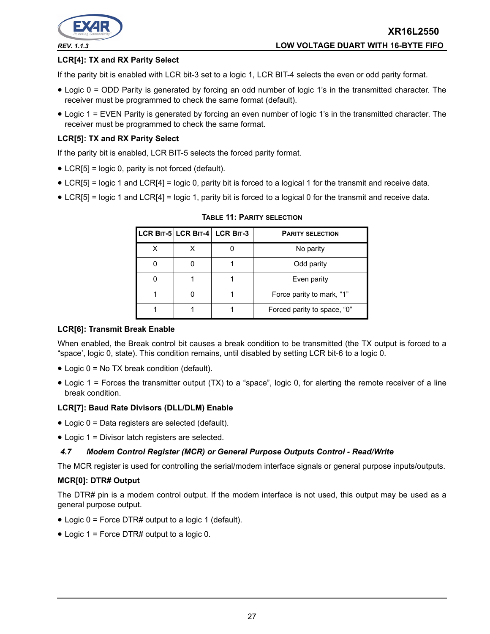

## **LCR[4]: TX and RX Parity Select**

If the parity bit is enabled with LCR bit-3 set to a logic 1, LCR BIT-4 selects the even or odd parity format.

- Logic 0 = ODD Parity is generated by forcing an odd number of logic 1's in the transmitted character. The receiver must be programmed to check the same format (default).
- Logic 1 = EVEN Parity is generated by forcing an even number of logic 1's in the transmitted character. The receiver must be programmed to check the same format.

#### **LCR[5]: TX and RX Parity Select**

If the parity bit is enabled, LCR BIT-5 selects the forced parity format.

- LCR[5] = logic 0, parity is not forced (default).
- LCR[5] = logic 1 and LCR[4] = logic 0, parity bit is forced to a logical 1 for the transmit and receive data.
- <span id="page-26-0"></span>• LCR[5] = logic 1 and LCR[4] = logic 1, parity bit is forced to a logical 0 for the transmit and receive data.

|   | LCR BIT-5 LCR BIT-4 LCR BIT-3 | <b>PARITY SELECTION</b>     |
|---|-------------------------------|-----------------------------|
| x |                               | No parity                   |
|   |                               | Odd parity                  |
|   |                               | Even parity                 |
|   |                               | Force parity to mark, "1"   |
|   |                               | Forced parity to space, "0" |

**TABLE 11: PARITY SELECTION**

#### **LCR[6]: Transmit Break Enable**

When enabled, the Break control bit causes a break condition to be transmitted (the TX output is forced to a "space', logic 0, state). This condition remains, until disabled by setting LCR bit-6 to a logic 0.

- Logic 0 = No TX break condition (default).
- Logic 1 = Forces the transmitter output (TX) to a "space", logic 0, for alerting the remote receiver of a line break condition.

#### **LCR[7]: Baud Rate Divisors (DLL/DLM) Enable**

- Logic 0 = Data registers are selected (default).
- Logic 1 = Divisor latch registers are selected.

#### *4.7 Modem Control Register (MCR) or General Purpose Outputs Control - Read/Write*

The MCR register is used for controlling the serial/modem interface signals or general purpose inputs/outputs.

#### **MCR[0]: DTR# Output**

The DTR# pin is a modem control output. If the modem interface is not used, this output may be used as a general purpose output.

- Logic 0 = Force DTR# output to a logic 1 (default).
- Logic 1 = Force DTR# output to a logic 0.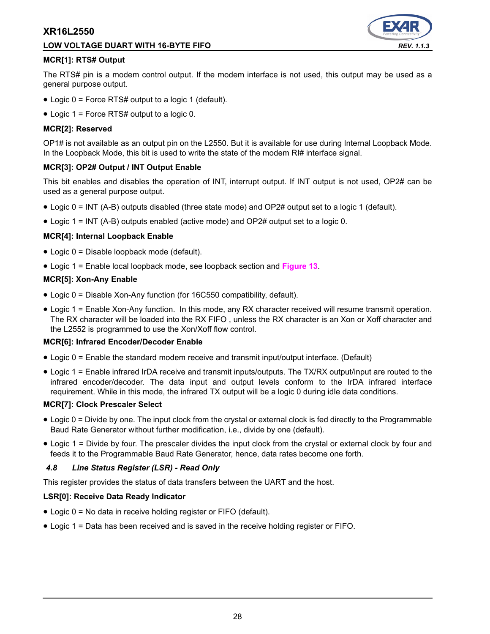## **LOW VOLTAGE DUART WITH 16-BYTE FIFO** *REV. 1.1.3*



#### **MCR[1]: RTS# Output**

The RTS# pin is a modem control output. If the modem interface is not used, this output may be used as a general purpose output.

- Logic 0 = Force RTS# output to a logic 1 (default).
- Logic 1 = Force RTS# output to a logic 0.

#### **MCR[2]: Reserved**

OP1# is not available as an output pin on the L2550. But it is available for use during Internal Loopback Mode. In the Loopback Mode, this bit is used to write the state of the modem RI# interface signal.

#### **MCR[3]: OP2# Output / INT Output Enable**

This bit enables and disables the operation of INT, interrupt output. If INT output is not used, OP2# can be used as a general purpose output.

- Logic 0 = INT (A-B) outputs disabled (three state mode) and OP2# output set to a logic 1 (default).
- Logic 1 = INT (A-B) outputs enabled (active mode) and OP2# output set to a logic 0.

#### **MCR[4]: Internal Loopback Enable**

- Logic 0 = Disable loopback mode (default).
- Logic 1 = Enable local loopback mode, see loopback section and **[Figure](#page-18-0) 13**.

#### **MCR[5]: Xon-Any Enable**

- Logic 0 = Disable Xon-Any function (for 16C550 compatibility, default).
- Logic 1 = Enable Xon-Any function. In this mode, any RX character received will resume transmit operation. The RX character will be loaded into the RX FIFO , unless the RX character is an Xon or Xoff character and the L2552 is programmed to use the Xon/Xoff flow control.

#### **MCR[6]: Infrared Encoder/Decoder Enable**

- Logic 0 = Enable the standard modem receive and transmit input/output interface. (Default)
- Logic 1 = Enable infrared IrDA receive and transmit inputs/outputs. The TX/RX output/input are routed to the infrared encoder/decoder. The data input and output levels conform to the IrDA infrared interface requirement. While in this mode, the infrared TX output will be a logic 0 during idle data conditions.

#### **MCR[7]: Clock Prescaler Select**

- Logic 0 = Divide by one. The input clock from the crystal or external clock is fed directly to the Programmable Baud Rate Generator without further modification, i.e., divide by one (default).
- Logic 1 = Divide by four. The prescaler divides the input clock from the crystal or external clock by four and feeds it to the Programmable Baud Rate Generator, hence, data rates become one forth.

#### *4.8 Line Status Register (LSR) - Read Only*

This register provides the status of data transfers between the UART and the host.

#### **LSR[0]: Receive Data Ready Indicator**

- Logic 0 = No data in receive holding register or FIFO (default).
- Logic 1 = Data has been received and is saved in the receive holding register or FIFO.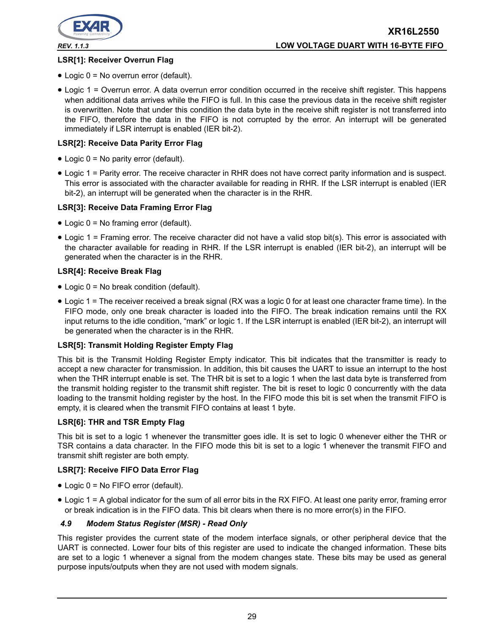

# **LSR[1]: Receiver Overrun Flag**

- Logic 0 = No overrun error (default).
- Logic 1 = Overrun error. A data overrun error condition occurred in the receive shift register. This happens when additional data arrives while the FIFO is full. In this case the previous data in the receive shift register is overwritten. Note that under this condition the data byte in the receive shift register is not transferred into the FIFO, therefore the data in the FIFO is not corrupted by the error. An interrupt will be generated immediately if LSR interrupt is enabled (IER bit-2).

#### **LSR[2]: Receive Data Parity Error Flag**

- Logic 0 = No parity error (default).
- Logic 1 = Parity error. The receive character in RHR does not have correct parity information and is suspect. This error is associated with the character available for reading in RHR. If the LSR interrupt is enabled (IER bit-2), an interrupt will be generated when the character is in the RHR.

#### **LSR[3]: Receive Data Framing Error Flag**

- Logic 0 = No framing error (default).
- Logic 1 = Framing error. The receive character did not have a valid stop bit(s). This error is associated with the character available for reading in RHR. If the LSR interrupt is enabled (IER bit-2), an interrupt will be generated when the character is in the RHR.

#### **LSR[4]: Receive Break Flag**

- Logic 0 = No break condition (default).
- Logic 1 = The receiver received a break signal (RX was a logic 0 for at least one character frame time). In the FIFO mode, only one break character is loaded into the FIFO. The break indication remains until the RX input returns to the idle condition, "mark" or logic 1. If the LSR interrupt is enabled (IER bit-2), an interrupt will be generated when the character is in the RHR.

#### **LSR[5]: Transmit Holding Register Empty Flag**

This bit is the Transmit Holding Register Empty indicator. This bit indicates that the transmitter is ready to accept a new character for transmission. In addition, this bit causes the UART to issue an interrupt to the host when the THR interrupt enable is set. The THR bit is set to a logic 1 when the last data byte is transferred from the transmit holding register to the transmit shift register. The bit is reset to logic 0 concurrently with the data loading to the transmit holding register by the host. In the FIFO mode this bit is set when the transmit FIFO is empty, it is cleared when the transmit FIFO contains at least 1 byte.

#### **LSR[6]: THR and TSR Empty Flag**

This bit is set to a logic 1 whenever the transmitter goes idle. It is set to logic 0 whenever either the THR or TSR contains a data character. In the FIFO mode this bit is set to a logic 1 whenever the transmit FIFO and transmit shift register are both empty.

#### **LSR[7]: Receive FIFO Data Error Flag**

- Logic 0 = No FIFO error (default).
- Logic 1 = A global indicator for the sum of all error bits in the RX FIFO. At least one parity error, framing error or break indication is in the FIFO data. This bit clears when there is no more error(s) in the FIFO.

#### *4.9 Modem Status Register (MSR) - Read Only*

This register provides the current state of the modem interface signals, or other peripheral device that the UART is connected. Lower four bits of this register are used to indicate the changed information. These bits are set to a logic 1 whenever a signal from the modem changes state. These bits may be used as general purpose inputs/outputs when they are not used with modem signals.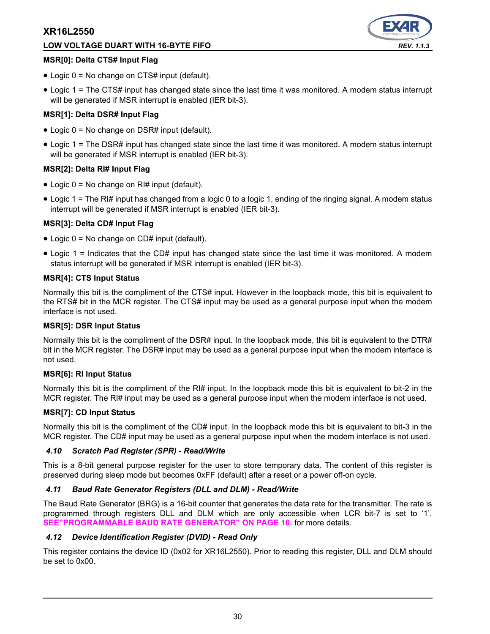# **LOW VOLTAGE DUART WITH 16-BYTE FIFO** *REV. 1.1.3*



#### **MSR[0]: Delta CTS# Input Flag**

- Logic 0 = No change on CTS# input (default).
- Logic 1 = The CTS# input has changed state since the last time it was monitored. A modem status interrupt will be generated if MSR interrupt is enabled (IER bit-3).

#### **MSR[1]: Delta DSR# Input Flag**

- Logic 0 = No change on DSR# input (default).
- Logic 1 = The DSR# input has changed state since the last time it was monitored. A modem status interrupt will be generated if MSR interrupt is enabled (IER bit-3).

#### **MSR[2]: Delta RI# Input Flag**

- Logic 0 = No change on RI# input (default).
- Logic 1 = The RI# input has changed from a logic 0 to a logic 1, ending of the ringing signal. A modem status interrupt will be generated if MSR interrupt is enabled (IER bit-3).

#### **MSR[3]: Delta CD# Input Flag**

- Logic 0 = No change on CD# input (default).
- Logic 1 = Indicates that the CD# input has changed state since the last time it was monitored. A modem status interrupt will be generated if MSR interrupt is enabled (IER bit-3).

#### **MSR[4]: CTS Input Status**

Normally this bit is the compliment of the CTS# input. However in the loopback mode, this bit is equivalent to the RTS# bit in the MCR register. The CTS# input may be used as a general purpose input when the modem interface is not used.

#### **MSR[5]: DSR Input Status**

Normally this bit is the compliment of the DSR# input. In the loopback mode, this bit is equivalent to the DTR# bit in the MCR register. The DSR# input may be used as a general purpose input when the modem interface is not used.

#### **MSR[6]: RI Input Status**

Normally this bit is the compliment of the RI# input. In the loopback mode this bit is equivalent to bit-2 in the MCR register. The RI# input may be used as a general purpose input when the modem interface is not used.

#### **MSR[7]: CD Input Status**

Normally this bit is the compliment of the CD# input. In the loopback mode this bit is equivalent to bit-3 in the MCR register. The CD# input may be used as a general purpose input when the modem interface is not used.

#### *4.10 Scratch Pad Register (SPR) - Read/Write*

This is a 8-bit general purpose register for the user to store temporary data. The content of this register is preserved during sleep mode but becomes 0xFF (default) after a reset or a power off-on cycle.

#### *4.11 Baud Rate Generator Registers (DLL and DLM) - Read/Write*

The Baud Rate Generator (BRG) is a 16-bit counter that generates the data rate for the transmitter. The rate is programmed through registers DLL and DLM which are only accessible when LCR bit-7 is set to '1'. **[SEE"PROGRAMMABLE BAUD RATE GENERATOR" ON PAGE](#page-9-2) 10.** for more details.

#### *4.12 Device Identification Register (DVID) - Read Only*

This register contains the device ID (0x02 for XR16L2550). Prior to reading this register, DLL and DLM should be set to 0x00.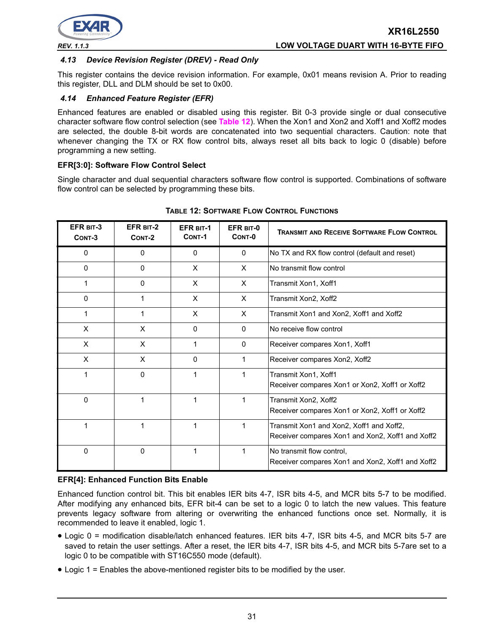

#### *4.13 Device Revision Register (DREV) - Read Only*

This register contains the device revision information. For example, 0x01 means revision A. Prior to reading this register, DLL and DLM should be set to 0x00.

## *4.14 Enhanced Feature Register (EFR)*

Enhanced features are enabled or disabled using this register. Bit 0-3 provide single or dual consecutive character software flow control selection (see **[Table](#page-30-0) 12**). When the Xon1 and Xon2 and Xoff1 and Xoff2 modes are selected, the double 8-bit words are concatenated into two sequential characters. Caution: note that whenever changing the TX or RX flow control bits, always reset all bits back to logic 0 (disable) before programming a new setting.

#### **EFR[3:0]: Software Flow Control Select**

Single character and dual sequential characters software flow control is supported. Combinations of software flow control can be selected by programming these bits.

<span id="page-30-0"></span>

| EFR BIT-3<br>CONT-3 | EFR BIT-2<br>CONT-2 | <b>EFR BIT-1</b><br>CONT-1 | EFR BIT-0<br>CONT-0 | <b>TRANSMIT AND RECEIVE SOFTWARE FLOW CONTROL</b>                                            |
|---------------------|---------------------|----------------------------|---------------------|----------------------------------------------------------------------------------------------|
| 0                   | 0                   | $\Omega$                   | 0                   | No TX and RX flow control (default and reset)                                                |
| $\Omega$            | $\mathbf 0$         | X                          | $\times$            | No transmit flow control                                                                     |
|                     | $\Omega$            | $\times$                   | $\times$            | Transmit Xon1, Xoff1                                                                         |
| 0                   | 1                   | X                          | $\times$            | Transmit Xon2, Xoff2                                                                         |
|                     |                     | X                          | $\times$            | Transmit Xon1 and Xon2, Xoff1 and Xoff2                                                      |
| X                   | X                   | $\Omega$                   | $\mathbf{0}$        | No receive flow control                                                                      |
| X                   | X                   | 1                          | $\mathbf{0}$        | Receiver compares Xon1, Xoff1                                                                |
| X                   | X                   | 0                          | 1                   | Receiver compares Xon2, Xoff2                                                                |
|                     | $\mathbf 0$         | 1                          | 1                   | Transmit Xon1, Xoff1<br>Receiver compares Xon1 or Xon2, Xoff1 or Xoff2                       |
| 0                   | 1                   | 1                          | 1                   | Transmit Xon2, Xoff2<br>Receiver compares Xon1 or Xon2, Xoff1 or Xoff2                       |
|                     | 1                   | 1                          | 1                   | Transmit Xon1 and Xon2, Xoff1 and Xoff2,<br>Receiver compares Xon1 and Xon2, Xoff1 and Xoff2 |
| 0                   | $\mathbf{0}$        | 1                          | 1                   | No transmit flow control,<br>Receiver compares Xon1 and Xon2, Xoff1 and Xoff2                |

#### **TABLE 12: SOFTWARE FLOW CONTROL FUNCTIONS**

#### **EFR[4]: Enhanced Function Bits Enable**

Enhanced function control bit. This bit enables IER bits 4-7, ISR bits 4-5, and MCR bits 5-7 to be modified. After modifying any enhanced bits, EFR bit-4 can be set to a logic 0 to latch the new values. This feature prevents legacy software from altering or overwriting the enhanced functions once set. Normally, it is recommended to leave it enabled, logic 1.

- Logic 0 = modification disable/latch enhanced features. IER bits 4-7, ISR bits 4-5, and MCR bits 5-7 are saved to retain the user settings. After a reset, the IER bits 4-7, ISR bits 4-5, and MCR bits 5-7are set to a logic 0 to be compatible with ST16C550 mode (default).
- Logic 1 = Enables the above-mentioned register bits to be modified by the user.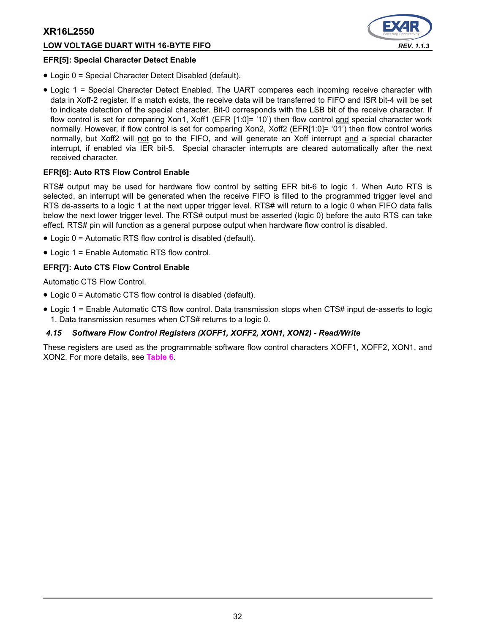#### **LOW VOLTAGE DUART WITH 16-BYTE FIFO** *REV. 1.1.3*



#### **EFR[5]: Special Character Detect Enable**

- Logic 0 = Special Character Detect Disabled (default).
- Logic 1 = Special Character Detect Enabled. The UART compares each incoming receive character with data in Xoff-2 register. If a match exists, the receive data will be transferred to FIFO and ISR bit-4 will be set to indicate detection of the special character. Bit-0 corresponds with the LSB bit of the receive character. If flow control is set for comparing Xon1, Xoff1 (EFR [1:0]= '10') then flow control and special character work normally. However, if flow control is set for comparing Xon2, Xoff2 (EFR[1:0]= '01') then flow control works normally, but Xoff2 will not go to the FIFO, and will generate an Xoff interrupt and a special character interrupt, if enabled via IER bit-5. Special character interrupts are cleared automatically after the next received character.

#### **EFR[6]: Auto RTS Flow Control Enable**

RTS# output may be used for hardware flow control by setting EFR bit-6 to logic 1. When Auto RTS is selected, an interrupt will be generated when the receive FIFO is filled to the programmed trigger level and RTS de-asserts to a logic 1 at the next upper trigger level. RTS# will return to a logic 0 when FIFO data falls below the next lower trigger level. The RTS# output must be asserted (logic 0) before the auto RTS can take effect. RTS# pin will function as a general purpose output when hardware flow control is disabled.

- Logic 0 = Automatic RTS flow control is disabled (default).
- Logic 1 = Enable Automatic RTS flow control.

#### **EFR[7]: Auto CTS Flow Control Enable**

Automatic CTS Flow Control.

- Logic 0 = Automatic CTS flow control is disabled (default).
- Logic 1 = Enable Automatic CTS flow control. Data transmission stops when CTS# input de-asserts to logic 1. Data transmission resumes when CTS# returns to a logic 0.

#### *4.15 Software Flow Control Registers (XOFF1, XOFF2, XON1, XON2) - Read/Write*

These registers are used as the programmable software flow control characters XOFF1, XOFF2, XON1, and XON2. For more details, see **[Table](#page-15-0) 6**.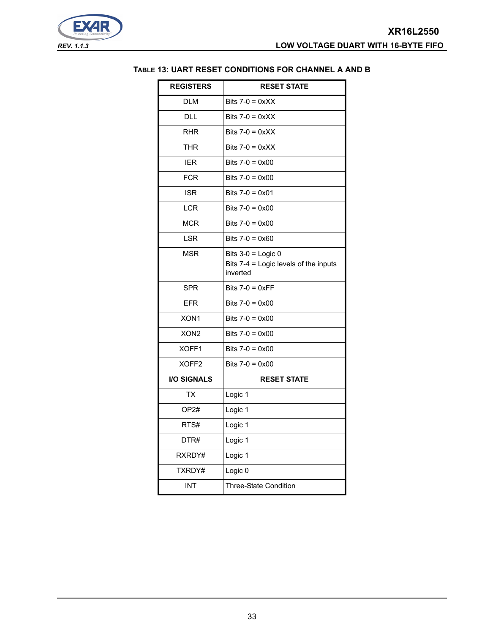$\overline{\phantom{0}}$ 

<span id="page-32-0"></span>

| <b>REGISTERS</b>   | <b>RESET STATE</b>                                                        |
|--------------------|---------------------------------------------------------------------------|
| <b>DLM</b>         | Bits $7-0 = 0 \times X$                                                   |
| DLL                | Bits $7-0 = 0 \times X$                                                   |
| <b>RHR</b>         | Bits $7-0 = 0 \times XX$                                                  |
| <b>THR</b>         | Bits $7-0 = 0 \times X$                                                   |
| <b>IER</b>         | Bits $7-0 = 0 \times 00$                                                  |
| <b>FCR</b>         | Bits $7-0 = 0 \times 00$                                                  |
| <b>ISR</b>         | Bits $7-0 = 0 \times 01$                                                  |
| <b>LCR</b>         | Bits $7-0 = 0 \times 00$                                                  |
| <b>MCR</b>         | Bits $7-0 = 0 \times 00$                                                  |
| <b>LSR</b>         | Bits $7-0 = 0 \times 60$                                                  |
| <b>MSR</b>         | Bits $3-0$ = Logic 0<br>Bits 7-4 = Logic levels of the inputs<br>inverted |
| <b>SPR</b>         | Bits $7-0 = 0 \times FF$                                                  |
| <b>EFR</b>         | Bits $7-0 = 0 \times 00$                                                  |
| XON1               | Bits $7-0 = 0 \times 00$                                                  |
| XON <sub>2</sub>   | Bits $7-0 = 0 \times 00$                                                  |
| XOFF1              | Bits $7-0 = 0 \times 00$                                                  |
| XOFF <sub>2</sub>  | Bits $7-0 = 0 \times 00$                                                  |
| <b>I/O SIGNALS</b> | <b>RESET STATE</b>                                                        |
| <b>TX</b>          | Logic 1                                                                   |
| OP <sub>2#</sub>   | Logic 1                                                                   |
| RTS#               | Logic 1                                                                   |
| DTR#               | Logic 1                                                                   |
| RXRDY#             | Logic 1                                                                   |
| TXRDY#             | Logic 0                                                                   |
| <b>INT</b>         | <b>Three-State Condition</b>                                              |

#### **TABLE 13: UART RESET CONDITIONS FOR CHANNEL A AND B**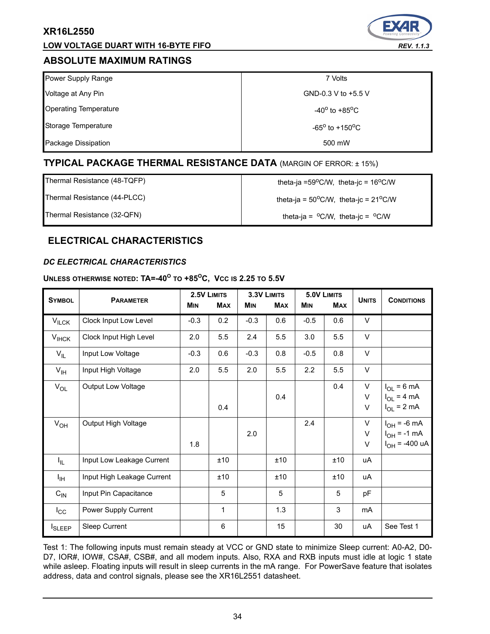## **LOW VOLTAGE DUART WITH 16-BYTE FIFO** *REV. 1.1.3*

# <span id="page-33-1"></span>**ABSOLUTE MAXIMUM RATINGS**

| Power Supply Range           | 7 Volts                           |
|------------------------------|-----------------------------------|
| Voltage at Any Pin           | GND-0.3 V to +5.5 V               |
| <b>Operating Temperature</b> | $-40^{\circ}$ to $+85^{\circ}$ C  |
| Storage Temperature          | $-65^{\circ}$ to $+150^{\circ}$ C |
| Package Dissipation          | 500 mW                            |

# **TYPICAL PACKAGE THERMAL RESISTANCE DATA** (MARGIN OF ERROR: ± 15%)

Thermal Resistance (48-TQFP)  $\qquad \qquad$  theta-ja =59°C/W, theta-jc = 16°C/W

Thermal Resistance (44-PLCC)  $\qquad \qquad$  theta-ja = 50<sup>o</sup>C/W, theta-jc = 21<sup>o</sup>C/W

Thermal Resistance (32-QFN) theta-ja =  $^{\circ}$ C/W, theta-jc =  $^{\circ}$ C/W

# **ELECTRICAL CHARACTERISTICS**

## <span id="page-33-0"></span>*DC ELECTRICAL CHARACTERISTICS*

# **UNLESS OTHERWISE NOTED: TA=-40<sup>O</sup> TO +85OC, VCC IS 2.25 TO 5.5V**

| <b>SYMBOL</b>     | <b>PARAMETER</b>           |            | 2.5V LIMITS | 3.3V LIMITS |            |            | 5.0V LIMITS | <b>UNITS</b> | <b>CONDITIONS</b>                                          |
|-------------------|----------------------------|------------|-------------|-------------|------------|------------|-------------|--------------|------------------------------------------------------------|
|                   |                            | <b>MIN</b> | <b>MAX</b>  | <b>MIN</b>  | <b>MAX</b> | <b>MIN</b> | <b>MAX</b>  |              |                                                            |
| $V_{\text{ILCK}}$ | Clock Input Low Level      | $-0.3$     | 0.2         | $-0.3$      | 0.6        | $-0.5$     | 0.6         | $\vee$       |                                                            |
| $V_{IHCK}$        | Clock Input High Level     | 2.0        | 5.5         | 2.4         | 5.5        | 3.0        | 5.5         | V            |                                                            |
| $V_{IL}$          | Input Low Voltage          | $-0.3$     | 0.6         | $-0.3$      | 0.8        | $-0.5$     | 0.8         | V            |                                                            |
| $V_{\text{IH}}$   | Input High Voltage         | 2.0        | 5.5         | 2.0         | 5.5        | 2.2        | 5.5         | V            |                                                            |
| $V_{OL}$          | Output Low Voltage         |            | 0.4         |             | 0.4        |            | 0.4         | V<br>V<br>V  | $I_{OL}$ = 6 mA<br>$I_{OL}$ = 4 mA<br>$I_{OL}$ = 2 mA      |
| $V_{OH}$          | Output High Voltage        | 1.8        |             | 2.0         |            | 2.4        |             | V<br>V<br>V  | $I_{OH}$ = -6 mA<br>$I_{OH}$ = -1 mA<br>$I_{OH}$ = -400 uA |
| $I_{\parallel L}$ | Input Low Leakage Current  |            | ±10         |             | ±10        |            | ±10         | uA           |                                                            |
| ŀщ                | Input High Leakage Current |            | ±10         |             | ±10        |            | ±10         | uA           |                                                            |
| $C_{\text{IN}}$   | Input Pin Capacitance      |            | 5           |             | 5          |            | 5           | pF           |                                                            |
| $I_{\rm CC}$      | Power Supply Current       |            | 1           |             | 1.3        |            | 3           | mA           |                                                            |
| <b>I</b> SLEEP    | Sleep Current              |            | 6           |             | 15         |            | 30          | uA           | See Test 1                                                 |

Test 1: The following inputs must remain steady at VCC or GND state to minimize Sleep current: A0-A2, D0- D7, IOR#, IOW#, CSA#, CSB#, and all modem inputs. Also, RXA and RXB inputs must idle at logic 1 state while asleep. Floating inputs will result in sleep currents in the mA range. For PowerSave feature that isolates address, data and control signals, please see the XR16L2551 datasheet.

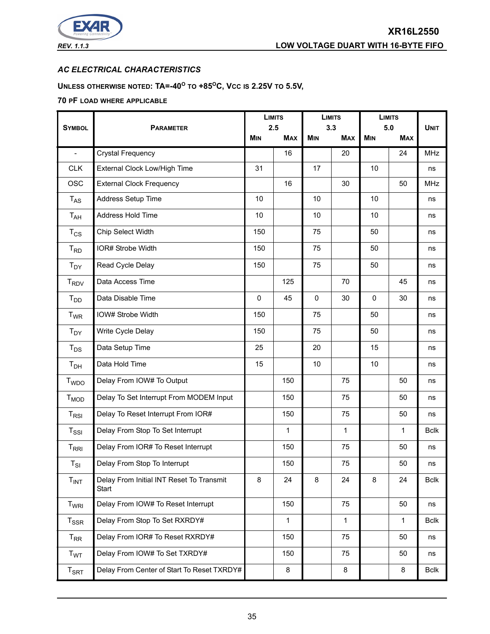

# *AC ELECTRICAL CHARACTERISTICS*

# **UNLESS OTHERWISE NOTED: TA=-40<sup>O</sup> TO +85OC, VCC IS 2.25V TO 5.5V,**

#### **70 PF LOAD WHERE APPLICABLE**

|                          | <b>LIMITS</b><br>2.5                              |             | <b>LIMITS</b><br>3.3 |            | <b>LIMITS</b><br>5.0 |            |            |             |
|--------------------------|---------------------------------------------------|-------------|----------------------|------------|----------------------|------------|------------|-------------|
| <b>SYMBOL</b>            | <b>PARAMETER</b>                                  |             | <b>MAX</b>           | <b>MIN</b> | <b>MAX</b>           | <b>MIN</b> | <b>MAX</b> | <b>UNIT</b> |
| $\overline{\phantom{a}}$ | <b>Crystal Frequency</b>                          |             | 16                   |            | 20                   |            | 24         | MHz         |
| <b>CLK</b>               | External Clock Low/High Time                      | 31          |                      | 17         |                      | 10         |            | ns          |
| <b>OSC</b>               | <b>External Clock Frequency</b>                   |             | 16                   |            | 30                   |            | 50         | <b>MHz</b>  |
| $T_{AS}$                 | Address Setup Time                                | 10          |                      | 10         |                      | 10         |            | ns          |
| $T_{AH}$                 | Address Hold Time                                 | 10          |                      | 10         |                      | 10         |            | ns          |
| $T_{CS}$                 | Chip Select Width                                 | 150         |                      | 75         |                      | 50         |            | ns          |
| $T_{RD}$                 | IOR# Strobe Width                                 | 150         |                      | 75         |                      | 50         |            | ns          |
| $T_{DY}$                 | Read Cycle Delay                                  | 150         |                      | 75         |                      | 50         |            | ns          |
| $T_{\mathsf{RDV}}$       | Data Access Time                                  |             | 125                  |            | 70                   |            | 45         | ns          |
| T <sub>DD</sub>          | Data Disable Time                                 | $\mathbf 0$ | 45                   | $\Omega$   | 30                   | $\Omega$   | 30         | ns          |
| <b>T<sub>WR</sub></b>    | IOW# Strobe Width                                 | 150         |                      | 75         |                      | 50         |            | ns          |
| $T_{DY}$                 | Write Cycle Delay                                 | 150         |                      | 75         |                      | 50         |            | ns          |
| $T_{DS}$                 | Data Setup Time                                   | 25          |                      | 20         |                      | 15         |            | ns          |
| T <sub>DH</sub>          | Data Hold Time                                    | 15          |                      | 10         |                      | 10         |            | ns          |
| <b>T</b> <sub>WDO</sub>  | Delay From IOW# To Output                         |             | 150                  |            | 75                   |            | 50         | ns          |
| $T_{MOD}$                | Delay To Set Interrupt From MODEM Input           |             | 150                  |            | 75                   |            | 50         | ns          |
| $T_{RSI}$                | Delay To Reset Interrupt From IOR#                |             | 150                  |            | 75                   |            | 50         | ns          |
| $T_{\rm SSI}$            | Delay From Stop To Set Interrupt                  |             | 1                    |            | 1                    |            | 1          | <b>Bclk</b> |
| $T_{\rm RRI}$            | Delay From IOR# To Reset Interrupt                |             | 150                  |            | 75                   |            | 50         | ns          |
| $T_{SI}$                 | Delay From Stop To Interrupt                      |             | 150                  |            | 75                   |            | 50         | ns          |
| $T_{INT}$                | Delay From Initial INT Reset To Transmit<br>Start | 8           | 24                   | 8          | 24                   | 8          | 24         | <b>Bclk</b> |
| T <sub>WRI</sub>         | Delay From IOW# To Reset Interrupt                |             | 150                  |            | 75                   |            | 50         | ns          |
| $T_{\rm SSR}$            | Delay From Stop To Set RXRDY#                     |             | $\mathbf{1}$         |            | 1                    |            | 1          | <b>Bclk</b> |
| $T_{RR}$                 | Delay From IOR# To Reset RXRDY#                   |             | 150                  |            | 75                   |            | 50         | ns          |
| T <sub>WT</sub>          | Delay From IOW# To Set TXRDY#                     |             | 150                  |            | 75                   |            | 50         | ns          |
| $T_{\sf SRT}$            | Delay From Center of Start To Reset TXRDY#        |             | 8                    |            | 8                    |            | 8          | <b>Bclk</b> |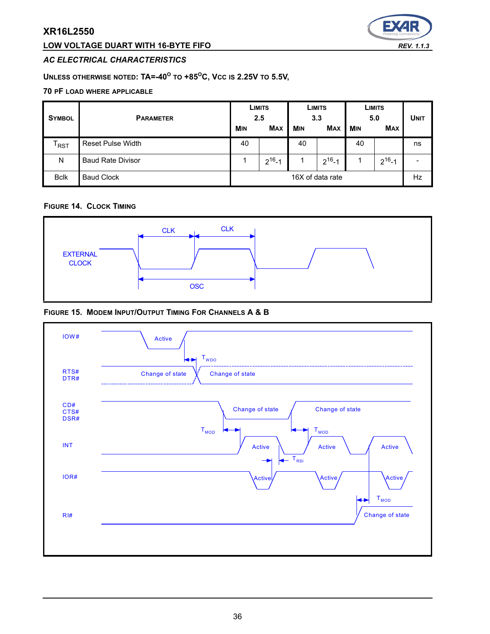## **LOW VOLTAGE DUART WITH 16-BYTE FIFO** *REV. 1.1.3*



#### *AC ELECTRICAL CHARACTERISTICS*

# **UNLESS OTHERWISE NOTED: TA=-40<sup>O</sup> TO +85OC, VCC IS 2.25V TO 5.5V,**

#### **70 PF LOAD WHERE APPLICABLE**

| <b>SYMBOL</b>               | <b>PARAMETER</b>         |            | LIMITS<br>2.5 |            | <b>LIMITS</b><br>3.3 |            | LIMITS<br>5.0 | <b>UNIT</b> |
|-----------------------------|--------------------------|------------|---------------|------------|----------------------|------------|---------------|-------------|
|                             |                          | <b>MIN</b> | <b>MAX</b>    | <b>MIN</b> | <b>MAX</b>           | <b>MIN</b> | <b>MAX</b>    |             |
| $\mathsf{T}_{\mathsf{RST}}$ | <b>Reset Pulse Width</b> | 40         |               | 40         |                      | 40         |               | ns          |
| N                           | <b>Baud Rate Divisor</b> |            | $2^{16} - 1$  |            | $2^{16} - 1$         |            | $2^{16} - 1$  |             |
| <b>Bclk</b>                 | <b>Baud Clock</b>        |            |               |            | 16X of data rate     |            |               | Hz          |

#### **FIGURE 14. CLOCK TIMING**



#### **FIGURE 15. MODEM INPUT/OUTPUT TIMING FOR CHANNELS A & B**

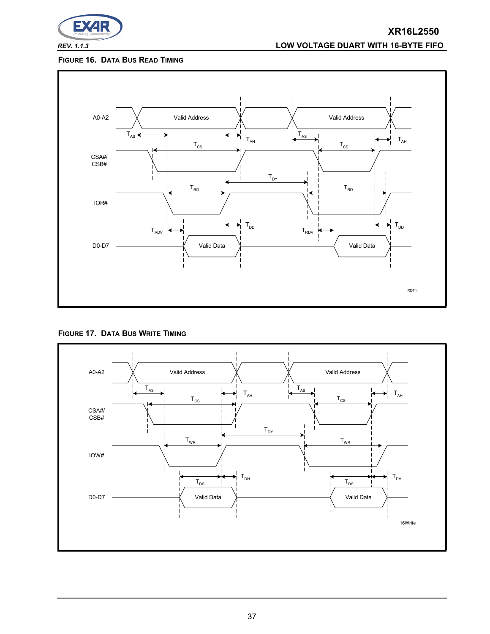

# *REV. 1.1.3* **LOW VOLTAGE DUART WITH 16-BYTE FIFO**

## **FIGURE 16. DATA BUS READ TIMING**



**FIGURE 17. DATA BUS WRITE TIMING**

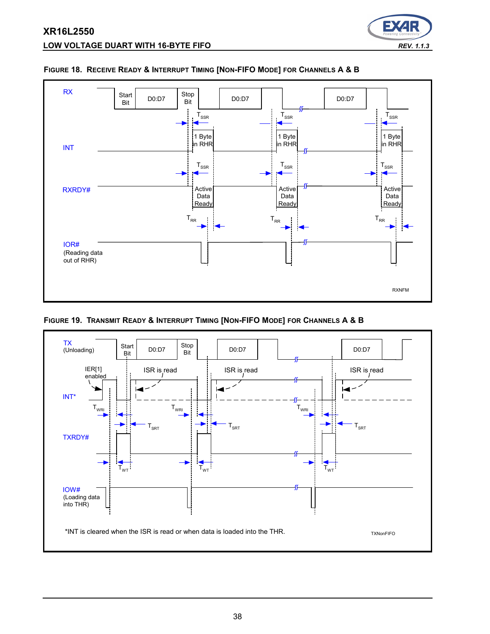



#### <span id="page-37-0"></span>**FIGURE 18. RECEIVE READY & INTERRUPT TIMING [NON-FIFO MODE] FOR CHANNELS A & B**

**FIGURE 19. TRANSMIT READY & INTERRUPT TIMING [NON-FIFO MODE] FOR CHANNELS A & B**

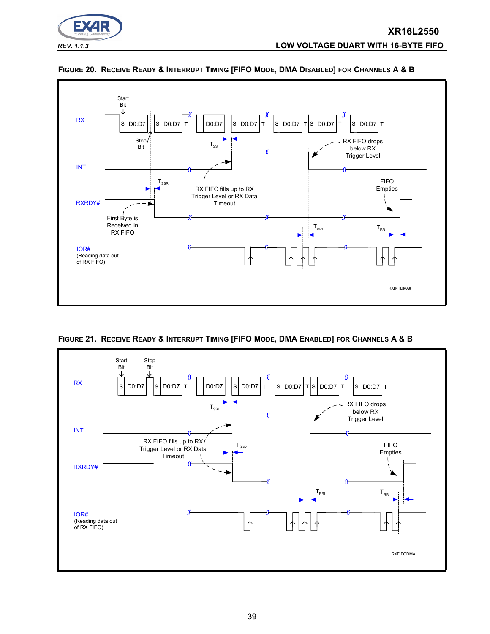





**FIGURE 21. RECEIVE READY & INTERRUPT TIMING [FIFO MODE, DMA ENABLED] FOR CHANNELS A & B**

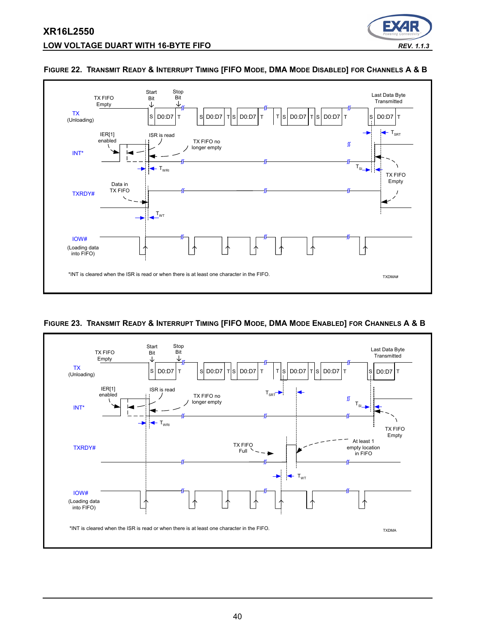



#### **FIGURE 22. TRANSMIT READY & INTERRUPT TIMING [FIFO MODE, DMA MODE DISABLED] FOR CHANNELS A & B**

#### <span id="page-39-0"></span>**FIGURE 23. TRANSMIT READY & INTERRUPT TIMING [FIFO MODE, DMA MODE ENABLED] FOR CHANNELS A & B**

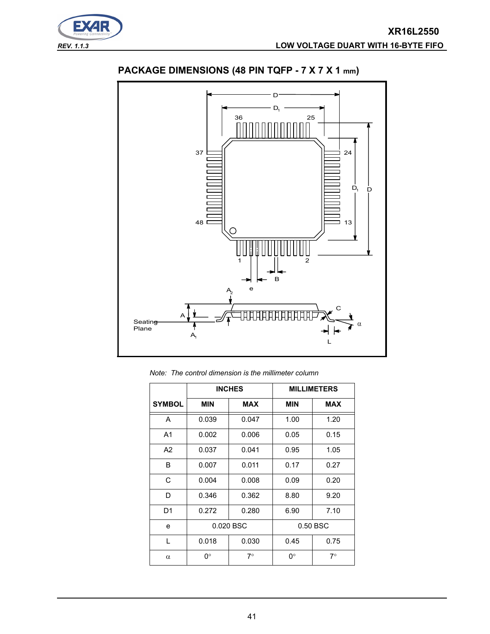



# **PACKAGE DIMENSIONS (48 PIN TQFP - 7 X 7 X 1 mm)**

*Note: The control dimension is the millimeter column*

|                |                   | <b>INCHES</b> | <b>MILLIMETERS</b> |             |  |
|----------------|-------------------|---------------|--------------------|-------------|--|
| <b>SYMBOL</b>  | <b>MIN</b>        | <b>MAX</b>    | <b>MIN</b>         | <b>MAX</b>  |  |
| A              | 0.039             | 0.047         | 1.00               | 1.20        |  |
| A <sub>1</sub> | 0.002             | 0.006         | 0.05               | 0.15        |  |
| A2             | 0.037             | 0.041         | 0.95               | 1.05        |  |
| B              | 0.007             | 0.011         | 0.17               | 0.27        |  |
| C              | 0.004             | 0.008         | 0.09               | 0.20        |  |
| D              | 0.346             | 0.362         | 8.80               | 9.20        |  |
| D1             | 0.272             | 0.280         | 6.90               | 7.10        |  |
| e              | 0.020 BSC         |               |                    | 0.50 BSC    |  |
| L              | 0.018             | 0.030         | 0.45               | 0.75        |  |
| $\alpha$       | 0°<br>$7^{\circ}$ |               | 0°                 | $7^{\circ}$ |  |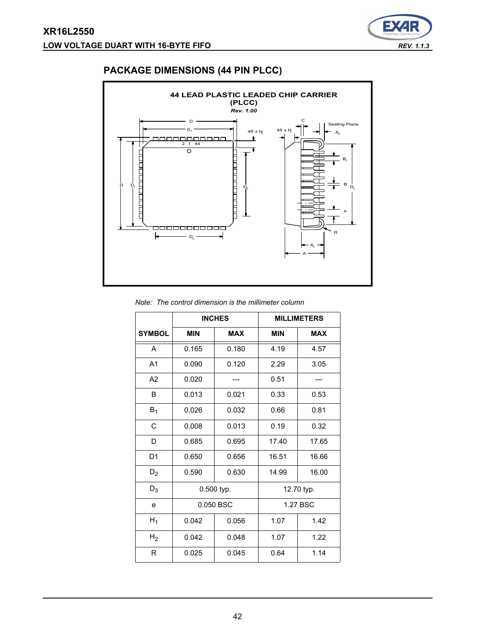

# **PACKAGE DIMENSIONS (44 PIN PLCC)**



| Note: The control dimension is the millimeter column |  |  |  |  |  |  |
|------------------------------------------------------|--|--|--|--|--|--|
|------------------------------------------------------|--|--|--|--|--|--|

|                |                          | <b>INCHES</b> | <b>MILLIMETERS</b> |            |  |
|----------------|--------------------------|---------------|--------------------|------------|--|
| <b>SYMBOL</b>  | <b>MIN</b><br><b>MAX</b> |               | <b>MIN</b>         | <b>MAX</b> |  |
| A              | 0.165                    | 0.180         | 4.19               | 4.57       |  |
| A <sub>1</sub> | 0.090                    | 0.120         | 2.29               | 3.05       |  |
| A <sub>2</sub> | 0.020                    |               | 0.51               |            |  |
| B              | 0.013                    | 0.021         | 0.33               | 0.53       |  |
| $B_1$          | 0.026                    | 0.032         | 0.66               | 0.81       |  |
| C              | 0.008                    | 0.013         | 0.19               |            |  |
| D              | 0.685                    | 0.695         | 17.40              | 17.65      |  |
| D <sub>1</sub> | 0.650                    | 0.656         | 16.51              | 16.66      |  |
| $D_2$          | 0.590                    | 0.630         | 14.99              | 16.00      |  |
| $D_3$          | 0.500 typ.               |               | 12.70 typ.         |            |  |
| e              | 0.050 BSC                |               | 1.27 BSC           |            |  |
| $H_1$          | 0.042                    | 0.056         | 1.07               | 1.42       |  |
| H <sub>2</sub> | 0.042                    | 0.048         | 1.07               | 1.22       |  |
| R              | 0.025                    | 0.045         | 0.64               | 1.14       |  |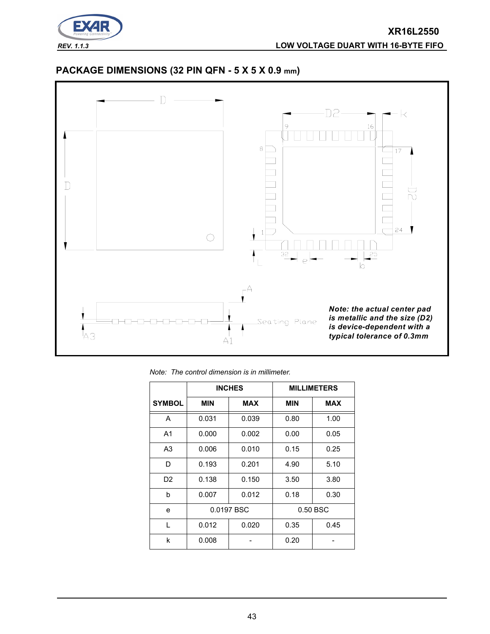

# **PACKAGE DIMENSIONS (32 PIN QFN - 5 X 5 X 0.9 mm)**



*Note: The control dimension is in millimeter.*

|                |                          | <b>INCHES</b> | <b>MILLIMETERS</b> |            |  |
|----------------|--------------------------|---------------|--------------------|------------|--|
| <b>SYMBOL</b>  | <b>MIN</b><br><b>MAX</b> |               | <b>MIN</b>         | <b>MAX</b> |  |
| A              | 0.031                    | 0.039         | 0.80               | 1.00       |  |
| A <sub>1</sub> | 0.000                    | 0.002         | 0.00               | 0.05       |  |
| A <sub>3</sub> | 0.006                    | 0.010         | 0.15               | 0.25       |  |
| D              | 0.193<br>0.201           |               | 4.90               | 5.10       |  |
| D2             | 0.138                    | 0.150         | 3.50               | 3.80       |  |
| b              | 0.007                    | 0.012         | 0.18               | 0.30       |  |
| e              | 0.0197 BSC               |               |                    | 0.50 BSC   |  |
| L              | 0.012                    | 0.020         | 0.35               | 0.45       |  |
| k              | 0.008                    |               | 0.20               |            |  |